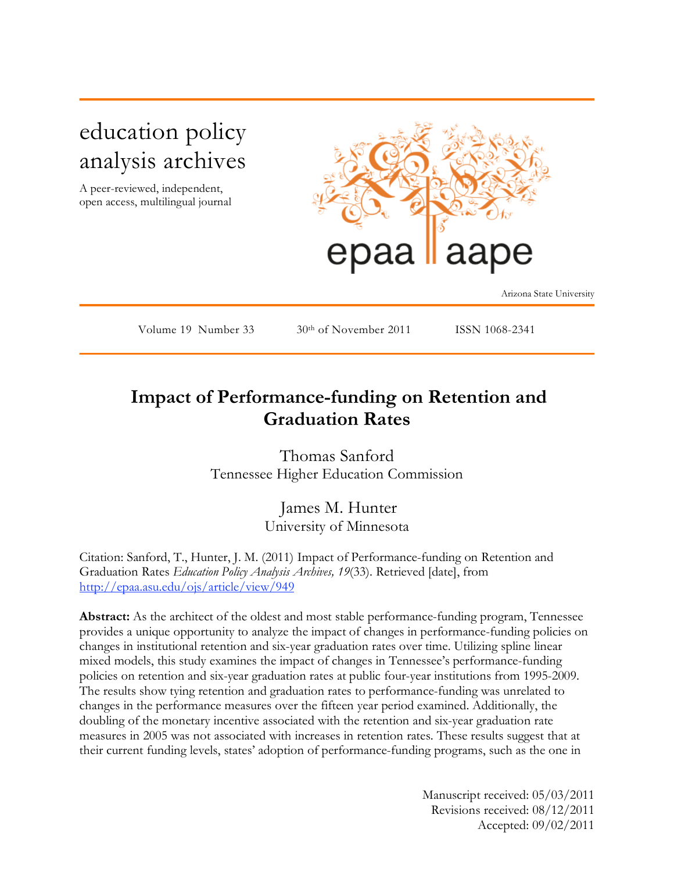# education policy analysis archives

A peer-reviewed, independent, open access, multilingual journal



Arizona State University

Volume 19 Number 33  $30<sup>th</sup>$  of November 2011 ISSN 1068-2341

## **Impact of Performance-funding on Retention and Graduation Rates**

Thomas Sanford Tennessee Higher Education Commission

> James M. Hunter University of Minnesota

Citation: Sanford, T., Hunter, J. M. (2011) Impact of Performance-funding on Retention and Graduation Rates *Education Policy Analysis Archives, 19*(33). Retrieved [date], from http://epaa.asu.edu/ojs/article/view/949

**Abstract:** As the architect of the oldest and most stable performance-funding program, Tennessee provides a unique opportunity to analyze the impact of changes in performance-funding policies on changes in institutional retention and six-year graduation rates over time. Utilizing spline linear mixed models, this study examines the impact of changes in Tennessee's performance-funding policies on retention and six-year graduation rates at public four-year institutions from 1995-2009. The results show tying retention and graduation rates to performance-funding was unrelated to changes in the performance measures over the fifteen year period examined. Additionally, the doubling of the monetary incentive associated with the retention and six-year graduation rate measures in 2005 was not associated with increases in retention rates. These results suggest that at their current funding levels, states' adoption of performance-funding programs, such as the one in

> Manuscript received: 05/03/2011 Revisions received: 08/12/2011 Accepted: 09/02/2011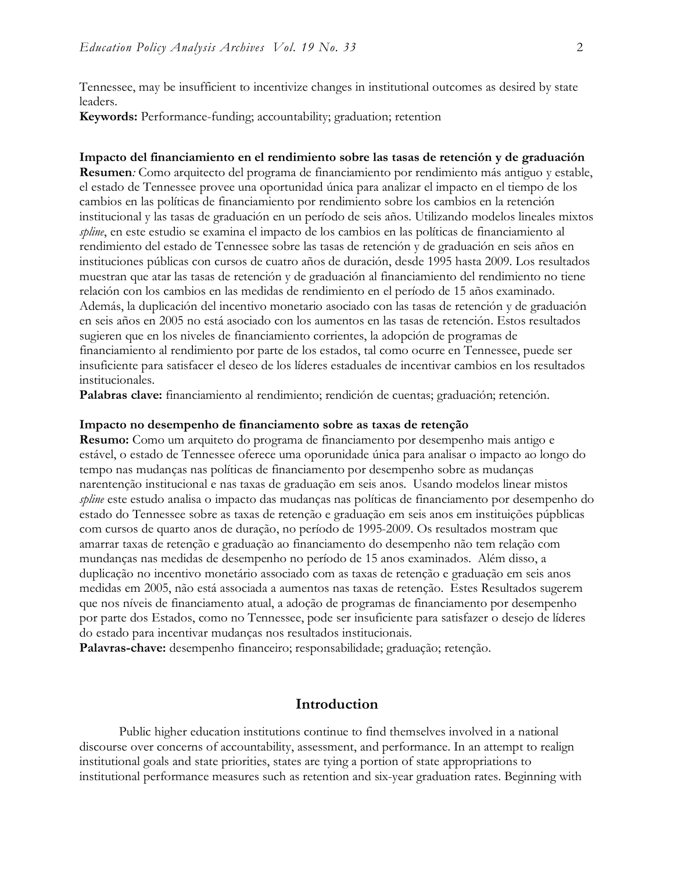Tennessee, may be insufficient to incentivize changes in institutional outcomes as desired by state leaders.

**Keywords:** Performance-funding; accountability; graduation; retention

#### **Impacto del financiamiento en el rendimiento sobre las tasas de retención y de graduación**

**Resumen***:* Como arquitecto del programa de financiamiento por rendimiento más antiguo y estable, el estado de Tennessee provee una oportunidad única para analizar el impacto en el tiempo de los cambios en las políticas de financiamiento por rendimiento sobre los cambios en la retención institucional y las tasas de graduación en un período de seis años. Utilizando modelos lineales mixtos *spline*, en este estudio se examina el impacto de los cambios en las políticas de financiamiento al rendimiento del estado de Tennessee sobre las tasas de retención y de graduación en seis años en instituciones públicas con cursos de cuatro años de duración, desde 1995 hasta 2009. Los resultados muestran que atar las tasas de retención y de graduación al financiamiento del rendimiento no tiene relación con los cambios en las medidas de rendimiento en el período de 15 años examinado. Además, la duplicación del incentivo monetario asociado con las tasas de retención y de graduación en seis años en 2005 no está asociado con los aumentos en las tasas de retención. Estos resultados sugieren que en los niveles de financiamiento corrientes, la adopción de programas de financiamiento al rendimiento por parte de los estados, tal como ocurre en Tennessee, puede ser insuficiente para satisfacer el deseo de los líderes estaduales de incentivar cambios en los resultados institucionales.

**Palabras clave:** financiamiento al rendimiento; rendición de cuentas; graduación; retención.

#### **Impacto no desempenho de financiamento sobre as taxas de retenção**

**Resumo:** Como um arquiteto do programa de financiamento por desempenho mais antigo e estável, o estado de Tennessee oferece uma oporunidade única para analisar o impacto ao longo do tempo nas mudanças nas políticas de financiamento por desempenho sobre as mudanças narentenção institucional e nas taxas de graduação em seis anos. Usando modelos linear mistos *spline* este estudo analisa o impacto das mudanças nas políticas de financiamento por desempenho do estado do Tennessee sobre as taxas de retenção e graduação em seis anos em instituições púpblicas com cursos de quarto anos de duração, no período de 1995-2009. Os resultados mostram que amarrar taxas de retenção e graduação ao financiamento do desempenho não tem relação com mundanças nas medidas de desempenho no período de 15 anos examinados. Além disso, a duplicação no incentivo monetário associado com as taxas de retenção e graduação em seis anos medidas em 2005, não está associada a aumentos nas taxas de retenção. Estes Resultados sugerem que nos níveis de financiamento atual, a adoção de programas de financiamento por desempenho por parte dos Estados, como no Tennessee, pode ser insuficiente para satisfazer o desejo de líderes do estado para incentivar mudanças nos resultados institucionais.

**Palavras-chave:** desempenho financeiro; responsabilidade; graduação; retenção.

#### **Introduction**

Public higher education institutions continue to find themselves involved in a national discourse over concerns of accountability, assessment, and performance. In an attempt to realign institutional goals and state priorities, states are tying a portion of state appropriations to institutional performance measures such as retention and six-year graduation rates. Beginning with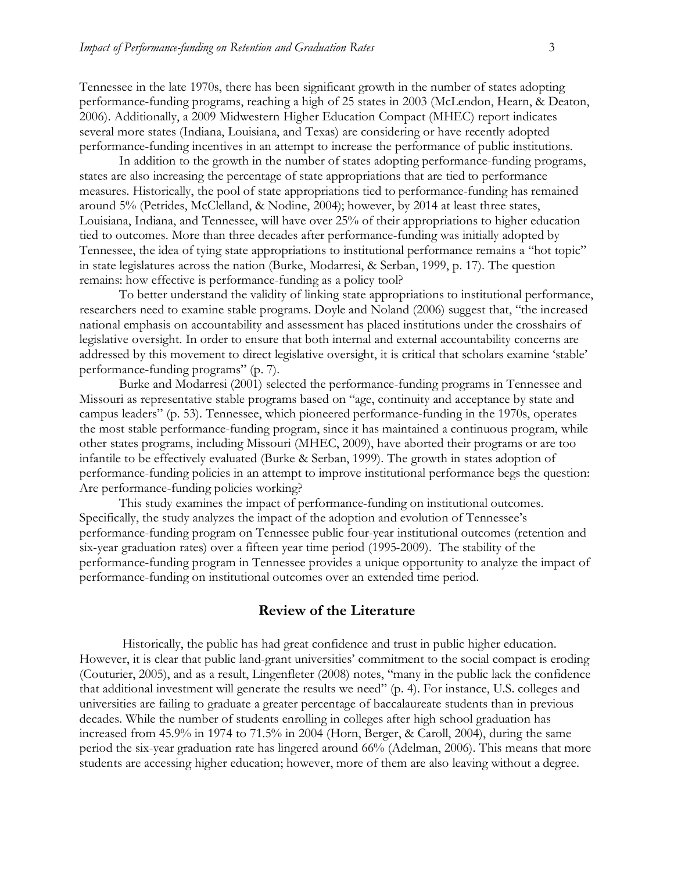Tennessee in the late 1970s, there has been significant growth in the number of states adopting performance-funding programs, reaching a high of 25 states in 2003 (McLendon, Hearn, & Deaton, 2006). Additionally, a 2009 Midwestern Higher Education Compact (MHEC) report indicates several more states (Indiana, Louisiana, and Texas) are considering or have recently adopted performance-funding incentives in an attempt to increase the performance of public institutions.

In addition to the growth in the number of states adopting performance-funding programs, states are also increasing the percentage of state appropriations that are tied to performance measures. Historically, the pool of state appropriations tied to performance-funding has remained around 5% (Petrides, McClelland, & Nodine, 2004); however, by 2014 at least three states, Louisiana, Indiana, and Tennessee, will have over 25% of their appropriations to higher education tied to outcomes. More than three decades after performance-funding was initially adopted by Tennessee, the idea of tying state appropriations to institutional performance remains a "hot topic" in state legislatures across the nation (Burke, Modarresi, & Serban, 1999, p. 17). The question remains: how effective is performance-funding as a policy tool?

To better understand the validity of linking state appropriations to institutional performance, researchers need to examine stable programs. Doyle and Noland (2006) suggest that, "the increased national emphasis on accountability and assessment has placed institutions under the crosshairs of legislative oversight. In order to ensure that both internal and external accountability concerns are addressed by this movement to direct legislative oversight, it is critical that scholars examine 'stable' performance-funding programs" (p. 7).

Burke and Modarresi (2001) selected the performance-funding programs in Tennessee and Missouri as representative stable programs based on "age, continuity and acceptance by state and campus leaders" (p. 53). Tennessee, which pioneered performance-funding in the 1970s, operates the most stable performance-funding program, since it has maintained a continuous program, while other states programs, including Missouri (MHEC, 2009), have aborted their programs or are too infantile to be effectively evaluated (Burke & Serban, 1999). The growth in states adoption of performance-funding policies in an attempt to improve institutional performance begs the question: Are performance-funding policies working?

This study examines the impact of performance-funding on institutional outcomes. Specifically, the study analyzes the impact of the adoption and evolution of Tennessee's performance-funding program on Tennessee public four-year institutional outcomes (retention and six-year graduation rates) over a fifteen year time period (1995-2009). The stability of the performance-funding program in Tennessee provides a unique opportunity to analyze the impact of performance-funding on institutional outcomes over an extended time period.

#### **Review of the Literature**

 Historically, the public has had great confidence and trust in public higher education. However, it is clear that public land-grant universities' commitment to the social compact is eroding (Couturier, 2005), and as a result, Lingenfleter (2008) notes, "many in the public lack the confidence that additional investment will generate the results we need" (p. 4). For instance, U.S. colleges and universities are failing to graduate a greater percentage of baccalaureate students than in previous decades. While the number of students enrolling in colleges after high school graduation has increased from 45.9% in 1974 to 71.5% in 2004 (Horn, Berger, & Caroll, 2004), during the same period the six-year graduation rate has lingered around 66% (Adelman, 2006). This means that more students are accessing higher education; however, more of them are also leaving without a degree.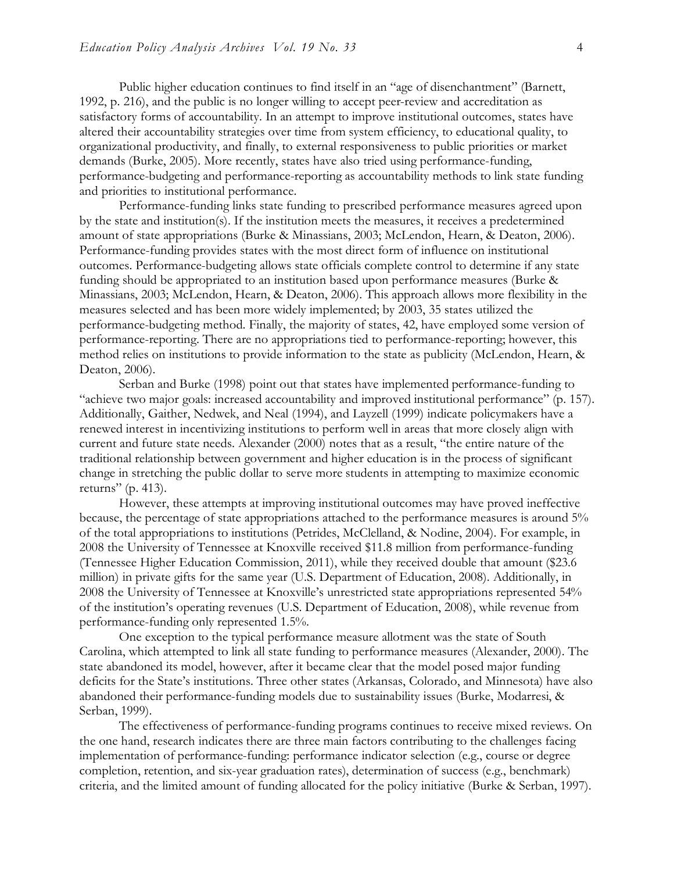Public higher education continues to find itself in an "age of disenchantment" (Barnett, 1992, p. 216), and the public is no longer willing to accept peer-review and accreditation as satisfactory forms of accountability. In an attempt to improve institutional outcomes, states have altered their accountability strategies over time from system efficiency, to educational quality, to organizational productivity, and finally, to external responsiveness to public priorities or market demands (Burke, 2005). More recently, states have also tried using performance-funding, performance-budgeting and performance-reporting as accountability methods to link state funding and priorities to institutional performance.

Performance-funding links state funding to prescribed performance measures agreed upon by the state and institution(s). If the institution meets the measures, it receives a predetermined amount of state appropriations (Burke & Minassians, 2003; McLendon, Hearn, & Deaton, 2006). Performance-funding provides states with the most direct form of influence on institutional outcomes. Performance-budgeting allows state officials complete control to determine if any state funding should be appropriated to an institution based upon performance measures (Burke & Minassians, 2003; McLendon, Hearn, & Deaton, 2006). This approach allows more flexibility in the measures selected and has been more widely implemented; by 2003, 35 states utilized the performance-budgeting method. Finally, the majority of states, 42, have employed some version of performance-reporting. There are no appropriations tied to performance-reporting; however, this method relies on institutions to provide information to the state as publicity (McLendon, Hearn, & Deaton, 2006).

Serban and Burke (1998) point out that states have implemented performance-funding to "achieve two major goals: increased accountability and improved institutional performance" (p. 157). Additionally, Gaither, Nedwek, and Neal (1994), and Layzell (1999) indicate policymakers have a renewed interest in incentivizing institutions to perform well in areas that more closely align with current and future state needs. Alexander (2000) notes that as a result, "the entire nature of the traditional relationship between government and higher education is in the process of significant change in stretching the public dollar to serve more students in attempting to maximize economic returns" (p. 413).

However, these attempts at improving institutional outcomes may have proved ineffective because, the percentage of state appropriations attached to the performance measures is around 5% of the total appropriations to institutions (Petrides, McClelland, & Nodine, 2004). For example, in 2008 the University of Tennessee at Knoxville received \$11.8 million from performance-funding (Tennessee Higher Education Commission, 2011), while they received double that amount (\$23.6 million) in private gifts for the same year (U.S. Department of Education, 2008). Additionally, in 2008 the University of Tennessee at Knoxville's unrestricted state appropriations represented 54% of the institution's operating revenues (U.S. Department of Education, 2008), while revenue from performance-funding only represented 1.5%.

One exception to the typical performance measure allotment was the state of South Carolina, which attempted to link all state funding to performance measures (Alexander, 2000). The state abandoned its model, however, after it became clear that the model posed major funding deficits for the State's institutions. Three other states (Arkansas, Colorado, and Minnesota) have also abandoned their performance-funding models due to sustainability issues (Burke, Modarresi, & Serban, 1999).

The effectiveness of performance-funding programs continues to receive mixed reviews. On the one hand, research indicates there are three main factors contributing to the challenges facing implementation of performance-funding: performance indicator selection (e.g., course or degree completion, retention, and six-year graduation rates), determination of success (e.g., benchmark) criteria, and the limited amount of funding allocated for the policy initiative (Burke & Serban, 1997).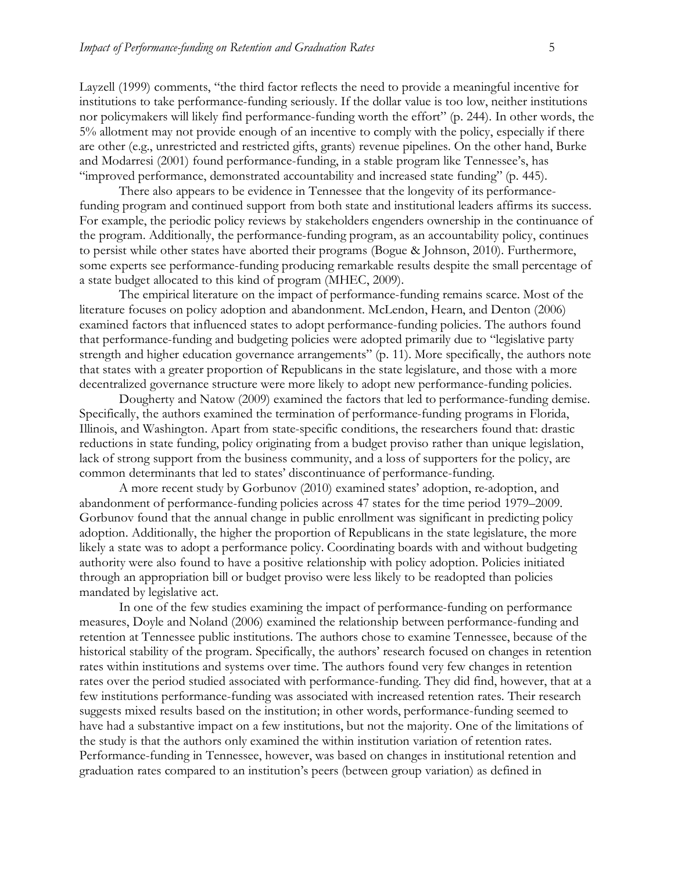Layzell (1999) comments, "the third factor reflects the need to provide a meaningful incentive for institutions to take performance-funding seriously. If the dollar value is too low, neither institutions nor policymakers will likely find performance-funding worth the effort" (p. 244). In other words, the 5% allotment may not provide enough of an incentive to comply with the policy, especially if there are other (e.g., unrestricted and restricted gifts, grants) revenue pipelines. On the other hand, Burke and Modarresi (2001) found performance-funding, in a stable program like Tennessee's, has "improved performance, demonstrated accountability and increased state funding" (p. 445).

There also appears to be evidence in Tennessee that the longevity of its performancefunding program and continued support from both state and institutional leaders affirms its success. For example, the periodic policy reviews by stakeholders engenders ownership in the continuance of the program. Additionally, the performance-funding program, as an accountability policy, continues to persist while other states have aborted their programs (Bogue & Johnson, 2010). Furthermore, some experts see performance-funding producing remarkable results despite the small percentage of a state budget allocated to this kind of program (MHEC, 2009).

The empirical literature on the impact of performance-funding remains scarce. Most of the literature focuses on policy adoption and abandonment. McLendon, Hearn, and Denton (2006) examined factors that influenced states to adopt performance-funding policies. The authors found that performance-funding and budgeting policies were adopted primarily due to "legislative party strength and higher education governance arrangements" (p. 11). More specifically, the authors note that states with a greater proportion of Republicans in the state legislature, and those with a more decentralized governance structure were more likely to adopt new performance-funding policies.

Dougherty and Natow (2009) examined the factors that led to performance-funding demise. Specifically, the authors examined the termination of performance-funding programs in Florida, Illinois, and Washington. Apart from state-specific conditions, the researchers found that: drastic reductions in state funding, policy originating from a budget proviso rather than unique legislation, lack of strong support from the business community, and a loss of supporters for the policy, are common determinants that led to states' discontinuance of performance-funding.

A more recent study by Gorbunov (2010) examined states' adoption, re-adoption, and abandonment of performance-funding policies across 47 states for the time period 1979–2009. Gorbunov found that the annual change in public enrollment was significant in predicting policy adoption. Additionally, the higher the proportion of Republicans in the state legislature, the more likely a state was to adopt a performance policy. Coordinating boards with and without budgeting authority were also found to have a positive relationship with policy adoption. Policies initiated through an appropriation bill or budget proviso were less likely to be readopted than policies mandated by legislative act.

In one of the few studies examining the impact of performance-funding on performance measures, Doyle and Noland (2006) examined the relationship between performance-funding and retention at Tennessee public institutions. The authors chose to examine Tennessee, because of the historical stability of the program. Specifically, the authors' research focused on changes in retention rates within institutions and systems over time. The authors found very few changes in retention rates over the period studied associated with performance-funding. They did find, however, that at a few institutions performance-funding was associated with increased retention rates. Their research suggests mixed results based on the institution; in other words, performance-funding seemed to have had a substantive impact on a few institutions, but not the majority. One of the limitations of the study is that the authors only examined the within institution variation of retention rates. Performance-funding in Tennessee, however, was based on changes in institutional retention and graduation rates compared to an institution's peers (between group variation) as defined in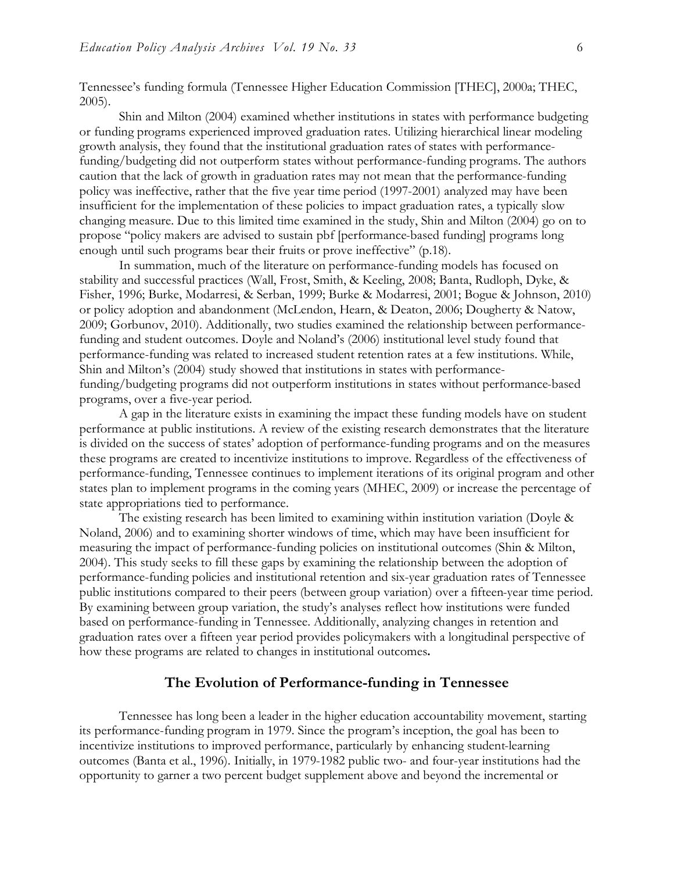Tennessee's funding formula (Tennessee Higher Education Commission [THEC], 2000a; THEC, 2005).

Shin and Milton (2004) examined whether institutions in states with performance budgeting or funding programs experienced improved graduation rates. Utilizing hierarchical linear modeling growth analysis, they found that the institutional graduation rates of states with performancefunding/budgeting did not outperform states without performance-funding programs. The authors caution that the lack of growth in graduation rates may not mean that the performance-funding policy was ineffective, rather that the five year time period (1997-2001) analyzed may have been insufficient for the implementation of these policies to impact graduation rates, a typically slow changing measure. Due to this limited time examined in the study, Shin and Milton (2004) go on to propose "policy makers are advised to sustain pbf [performance-based funding] programs long enough until such programs bear their fruits or prove ineffective" (p.18).

In summation, much of the literature on performance-funding models has focused on stability and successful practices (Wall, Frost, Smith, & Keeling, 2008; Banta, Rudloph, Dyke, & Fisher, 1996; Burke, Modarresi, & Serban, 1999; Burke & Modarresi, 2001; Bogue & Johnson, 2010) or policy adoption and abandonment (McLendon, Hearn, & Deaton, 2006; Dougherty & Natow, 2009; Gorbunov, 2010). Additionally, two studies examined the relationship between performancefunding and student outcomes. Doyle and Noland's (2006) institutional level study found that performance-funding was related to increased student retention rates at a few institutions. While, Shin and Milton's (2004) study showed that institutions in states with performancefunding/budgeting programs did not outperform institutions in states without performance-based programs, over a five-year period.

A gap in the literature exists in examining the impact these funding models have on student performance at public institutions. A review of the existing research demonstrates that the literature is divided on the success of states' adoption of performance-funding programs and on the measures these programs are created to incentivize institutions to improve. Regardless of the effectiveness of performance-funding, Tennessee continues to implement iterations of its original program and other states plan to implement programs in the coming years (MHEC, 2009) or increase the percentage of state appropriations tied to performance.

The existing research has been limited to examining within institution variation (Doyle & Noland, 2006) and to examining shorter windows of time, which may have been insufficient for measuring the impact of performance-funding policies on institutional outcomes (Shin & Milton, 2004). This study seeks to fill these gaps by examining the relationship between the adoption of performance-funding policies and institutional retention and six-year graduation rates of Tennessee public institutions compared to their peers (between group variation) over a fifteen-year time period. By examining between group variation, the study's analyses reflect how institutions were funded based on performance-funding in Tennessee. Additionally, analyzing changes in retention and graduation rates over a fifteen year period provides policymakers with a longitudinal perspective of how these programs are related to changes in institutional outcomes**.** 

#### **The Evolution of Performance-funding in Tennessee**

Tennessee has long been a leader in the higher education accountability movement, starting its performance-funding program in 1979. Since the program's inception, the goal has been to incentivize institutions to improved performance, particularly by enhancing student-learning outcomes (Banta et al., 1996). Initially, in 1979-1982 public two- and four-year institutions had the opportunity to garner a two percent budget supplement above and beyond the incremental or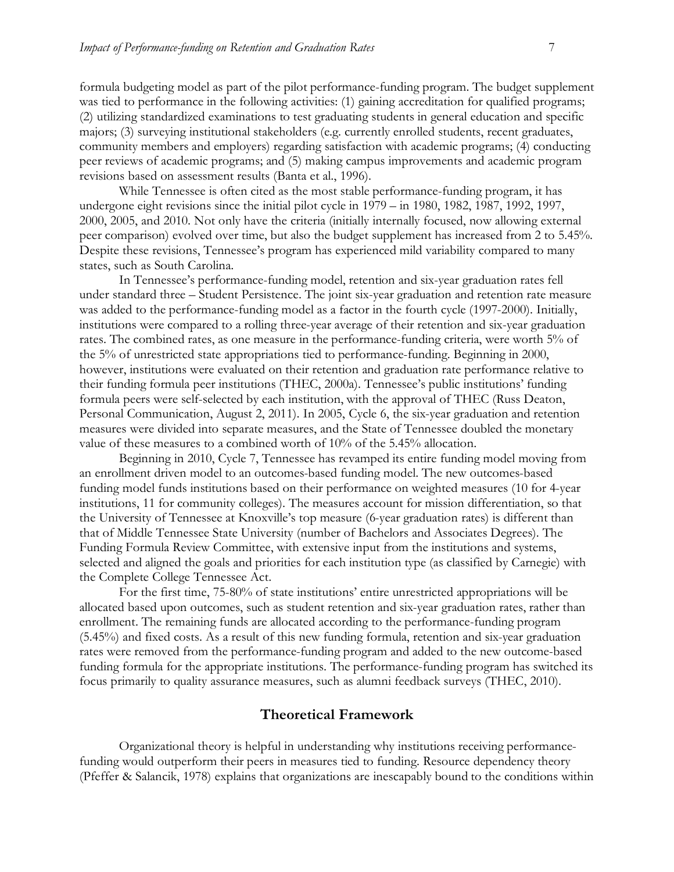formula budgeting model as part of the pilot performance-funding program. The budget supplement was tied to performance in the following activities: (1) gaining accreditation for qualified programs; (2) utilizing standardized examinations to test graduating students in general education and specific majors; (3) surveying institutional stakeholders (e.g. currently enrolled students, recent graduates, community members and employers) regarding satisfaction with academic programs; (4) conducting peer reviews of academic programs; and (5) making campus improvements and academic program revisions based on assessment results (Banta et al., 1996).

While Tennessee is often cited as the most stable performance-funding program, it has undergone eight revisions since the initial pilot cycle in 1979 – in 1980, 1982, 1987, 1992, 1997, 2000, 2005, and 2010. Not only have the criteria (initially internally focused, now allowing external peer comparison) evolved over time, but also the budget supplement has increased from 2 to 5.45%. Despite these revisions, Tennessee's program has experienced mild variability compared to many states, such as South Carolina.

In Tennessee's performance-funding model, retention and six-year graduation rates fell under standard three – Student Persistence. The joint six-year graduation and retention rate measure was added to the performance-funding model as a factor in the fourth cycle (1997-2000). Initially, institutions were compared to a rolling three-year average of their retention and six-year graduation rates. The combined rates, as one measure in the performance-funding criteria, were worth 5% of the 5% of unrestricted state appropriations tied to performance-funding. Beginning in 2000, however, institutions were evaluated on their retention and graduation rate performance relative to their funding formula peer institutions (THEC, 2000a). Tennessee's public institutions' funding formula peers were self-selected by each institution, with the approval of THEC (Russ Deaton, Personal Communication, August 2, 2011). In 2005, Cycle 6, the six-year graduation and retention measures were divided into separate measures, and the State of Tennessee doubled the monetary value of these measures to a combined worth of 10% of the 5.45% allocation.

Beginning in 2010, Cycle 7, Tennessee has revamped its entire funding model moving from an enrollment driven model to an outcomes-based funding model. The new outcomes-based funding model funds institutions based on their performance on weighted measures (10 for 4-year institutions, 11 for community colleges). The measures account for mission differentiation, so that the University of Tennessee at Knoxville's top measure (6-year graduation rates) is different than that of Middle Tennessee State University (number of Bachelors and Associates Degrees). The Funding Formula Review Committee, with extensive input from the institutions and systems, selected and aligned the goals and priorities for each institution type (as classified by Carnegie) with the Complete College Tennessee Act.

For the first time, 75-80% of state institutions' entire unrestricted appropriations will be allocated based upon outcomes, such as student retention and six-year graduation rates, rather than enrollment. The remaining funds are allocated according to the performance-funding program (5.45%) and fixed costs. As a result of this new funding formula, retention and six-year graduation rates were removed from the performance-funding program and added to the new outcome-based funding formula for the appropriate institutions. The performance-funding program has switched its focus primarily to quality assurance measures, such as alumni feedback surveys (THEC, 2010).

#### **Theoretical Framework**

Organizational theory is helpful in understanding why institutions receiving performancefunding would outperform their peers in measures tied to funding. Resource dependency theory (Pfeffer & Salancik, 1978) explains that organizations are inescapably bound to the conditions within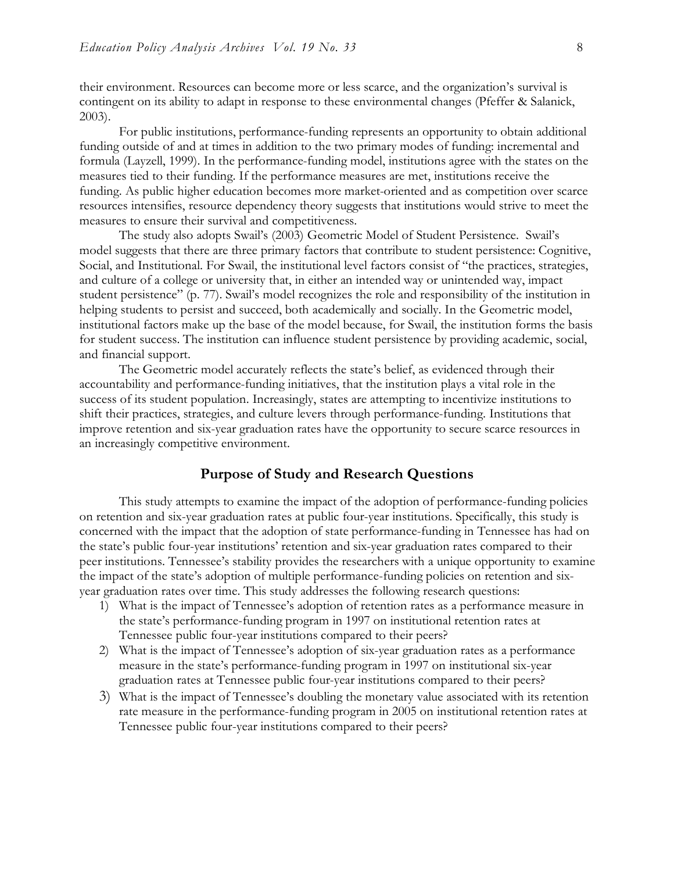their environment. Resources can become more or less scarce, and the organization's survival is contingent on its ability to adapt in response to these environmental changes (Pfeffer & Salanick, 2003).

For public institutions, performance-funding represents an opportunity to obtain additional funding outside of and at times in addition to the two primary modes of funding: incremental and formula (Layzell, 1999). In the performance-funding model, institutions agree with the states on the measures tied to their funding. If the performance measures are met, institutions receive the funding. As public higher education becomes more market-oriented and as competition over scarce resources intensifies, resource dependency theory suggests that institutions would strive to meet the measures to ensure their survival and competitiveness.

The study also adopts Swail's (2003) Geometric Model of Student Persistence. Swail's model suggests that there are three primary factors that contribute to student persistence: Cognitive, Social, and Institutional. For Swail, the institutional level factors consist of "the practices, strategies, and culture of a college or university that, in either an intended way or unintended way, impact student persistence" (p. 77). Swail's model recognizes the role and responsibility of the institution in helping students to persist and succeed, both academically and socially. In the Geometric model, institutional factors make up the base of the model because, for Swail, the institution forms the basis for student success. The institution can influence student persistence by providing academic, social, and financial support.

The Geometric model accurately reflects the state's belief, as evidenced through their accountability and performance-funding initiatives, that the institution plays a vital role in the success of its student population. Increasingly, states are attempting to incentivize institutions to shift their practices, strategies, and culture levers through performance-funding. Institutions that improve retention and six-year graduation rates have the opportunity to secure scarce resources in an increasingly competitive environment.

#### **Purpose of Study and Research Questions**

This study attempts to examine the impact of the adoption of performance-funding policies on retention and six-year graduation rates at public four-year institutions. Specifically, this study is concerned with the impact that the adoption of state performance-funding in Tennessee has had on the state's public four-year institutions' retention and six-year graduation rates compared to their peer institutions. Tennessee's stability provides the researchers with a unique opportunity to examine the impact of the state's adoption of multiple performance-funding policies on retention and sixyear graduation rates over time. This study addresses the following research questions:

- 1) What is the impact of Tennessee's adoption of retention rates as a performance measure in the state's performance-funding program in 1997 on institutional retention rates at Tennessee public four-year institutions compared to their peers?
- 2) What is the impact of Tennessee's adoption of six-year graduation rates as a performance measure in the state's performance-funding program in 1997 on institutional six-year graduation rates at Tennessee public four-year institutions compared to their peers?
- 3) What is the impact of Tennessee's doubling the monetary value associated with its retention rate measure in the performance-funding program in 2005 on institutional retention rates at Tennessee public four-year institutions compared to their peers?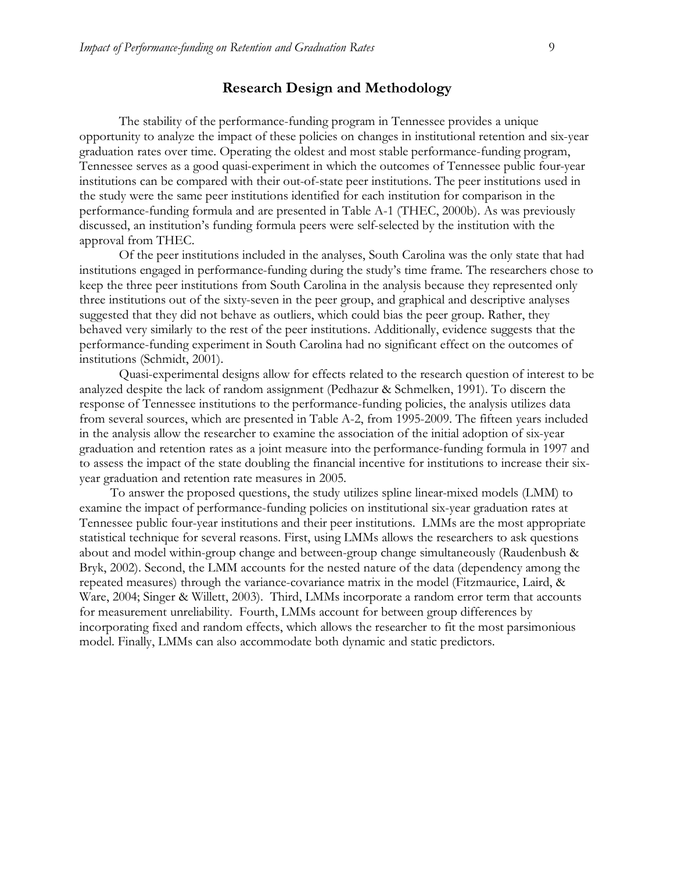#### **Research Design and Methodology**

The stability of the performance-funding program in Tennessee provides a unique opportunity to analyze the impact of these policies on changes in institutional retention and six-year graduation rates over time. Operating the oldest and most stable performance-funding program, Tennessee serves as a good quasi-experiment in which the outcomes of Tennessee public four-year institutions can be compared with their out-of-state peer institutions. The peer institutions used in the study were the same peer institutions identified for each institution for comparison in the performance-funding formula and are presented in Table A-1 (THEC, 2000b). As was previously discussed, an institution's funding formula peers were self-selected by the institution with the approval from THEC.

Of the peer institutions included in the analyses, South Carolina was the only state that had institutions engaged in performance-funding during the study's time frame. The researchers chose to keep the three peer institutions from South Carolina in the analysis because they represented only three institutions out of the sixty-seven in the peer group, and graphical and descriptive analyses suggested that they did not behave as outliers, which could bias the peer group. Rather, they behaved very similarly to the rest of the peer institutions. Additionally, evidence suggests that the performance-funding experiment in South Carolina had no significant effect on the outcomes of institutions (Schmidt, 2001).

Quasi-experimental designs allow for effects related to the research question of interest to be analyzed despite the lack of random assignment (Pedhazur & Schmelken, 1991). To discern the response of Tennessee institutions to the performance-funding policies, the analysis utilizes data from several sources, which are presented in Table A-2, from 1995-2009. The fifteen years included in the analysis allow the researcher to examine the association of the initial adoption of six-year graduation and retention rates as a joint measure into the performance-funding formula in 1997 and to assess the impact of the state doubling the financial incentive for institutions to increase their sixyear graduation and retention rate measures in 2005.

To answer the proposed questions, the study utilizes spline linear-mixed models (LMM) to examine the impact of performance-funding policies on institutional six-year graduation rates at Tennessee public four-year institutions and their peer institutions. LMMs are the most appropriate statistical technique for several reasons. First, using LMMs allows the researchers to ask questions about and model within-group change and between-group change simultaneously (Raudenbush & Bryk, 2002). Second, the LMM accounts for the nested nature of the data (dependency among the repeated measures) through the variance-covariance matrix in the model (Fitzmaurice, Laird, & Ware, 2004; Singer & Willett, 2003). Third, LMMs incorporate a random error term that accounts for measurement unreliability. Fourth, LMMs account for between group differences by incorporating fixed and random effects, which allows the researcher to fit the most parsimonious model. Finally, LMMs can also accommodate both dynamic and static predictors.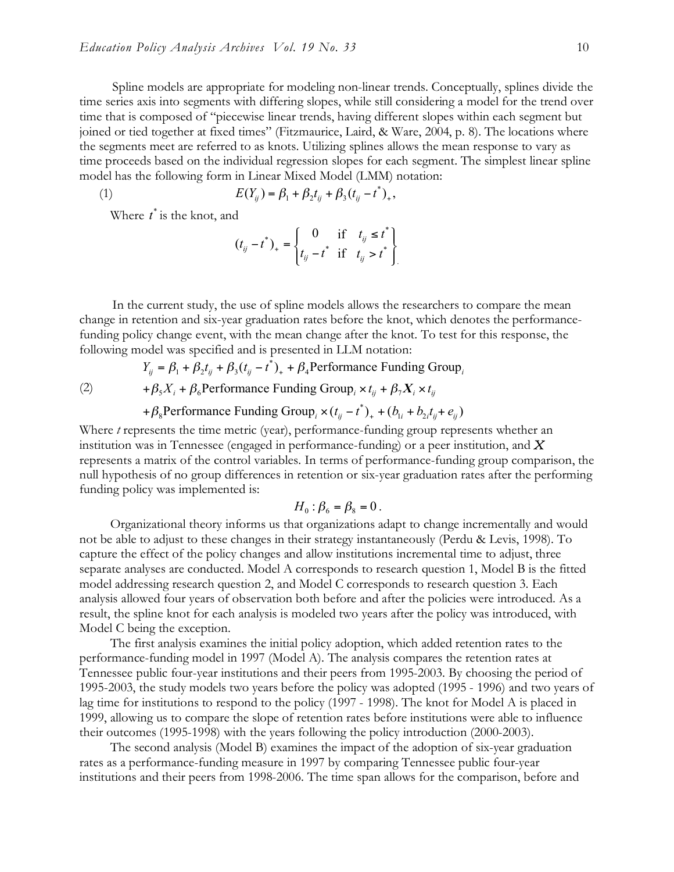Spline models are appropriate for modeling non-linear trends. Conceptually, splines divide the time series axis into segments with differing slopes, while still considering a model for the trend over time that is composed of "piecewise linear trends, having different slopes within each segment but joined or tied together at fixed times" (Fitzmaurice, Laird, & Ware, 2004, p. 8). The locations where the segments meet are referred to as knots. Utilizing splines allows the mean response to vary as time proceeds based on the individual regression slopes for each segment. The simplest linear spline model has the following form in Linear Mixed Model (LMM) notation:

(1) 
$$
E(Y_{ij}) = \beta_1 + \beta_2 t_{ij} + \beta_3 (t_{ij} - t^*)_+,
$$

Where  $t^*$  is the knot, and

$$
(t_{ij} - t^*)_{+} = \begin{cases} 0 & \text{if } t_{ij} \leq t^* \\ t_{ij} - t^* & \text{if } t_{ij} > t^* \end{cases}
$$

In the current study, the use of spline models allows the researchers to compare the mean change in retention and six-year graduation rates before the knot, which denotes the performancefunding policy change event, with the mean change after the knot. To test for this response, the following model was specified and is presented in LLM notation:

$$
Y_{ij} = \beta_1 + \beta_2 t_{ij} + \beta_3 (t_{ij} - t^*)_+ + \beta_4 \text{Performance Funding Group}_i
$$

(2)

+ $\beta_5 X_i$  +  $\beta_6$ Performance Funding Group<sub>i</sub> ×  $t_{ij}$  +  $\beta_7 X_i$  ×  $t_{ij}$ 

#### \* + $\beta_8$ Performance Funding Group<sub>i</sub> ×  $(t_{ij} - t^*)$ <sub>+</sub> +  $(b_{1i} + b_{2i}t_{ij} + e_{ij})$

Where *t* represents the time metric (year), performance-funding group represents whether an institution was in Tennessee (engaged in performance-funding) or a peer institution, and *X*  represents a matrix of the control variables. In terms of performance-funding group comparison, the null hypothesis of no group differences in retention or six-year graduation rates after the performing funding policy was implemented is:

$$
H_{0}:\beta_{6}=\beta_{8}=0.
$$

Organizational theory informs us that organizations adapt to change incrementally and would not be able to adjust to these changes in their strategy instantaneously (Perdu & Levis, 1998). To capture the effect of the policy changes and allow institutions incremental time to adjust, three separate analyses are conducted. Model A corresponds to research question 1, Model B is the fitted model addressing research question 2, and Model C corresponds to research question 3. Each analysis allowed four years of observation both before and after the policies were introduced. As a result, the spline knot for each analysis is modeled two years after the policy was introduced, with Model C being the exception.

The first analysis examines the initial policy adoption, which added retention rates to the performance-funding model in 1997 (Model A). The analysis compares the retention rates at Tennessee public four-year institutions and their peers from 1995-2003. By choosing the period of 1995-2003, the study models two years before the policy was adopted (1995 - 1996) and two years of lag time for institutions to respond to the policy (1997 - 1998). The knot for Model A is placed in 1999, allowing us to compare the slope of retention rates before institutions were able to influence their outcomes (1995-1998) with the years following the policy introduction (2000-2003).

The second analysis (Model B) examines the impact of the adoption of six-year graduation rates as a performance-funding measure in 1997 by comparing Tennessee public four-year institutions and their peers from 1998-2006. The time span allows for the comparison, before and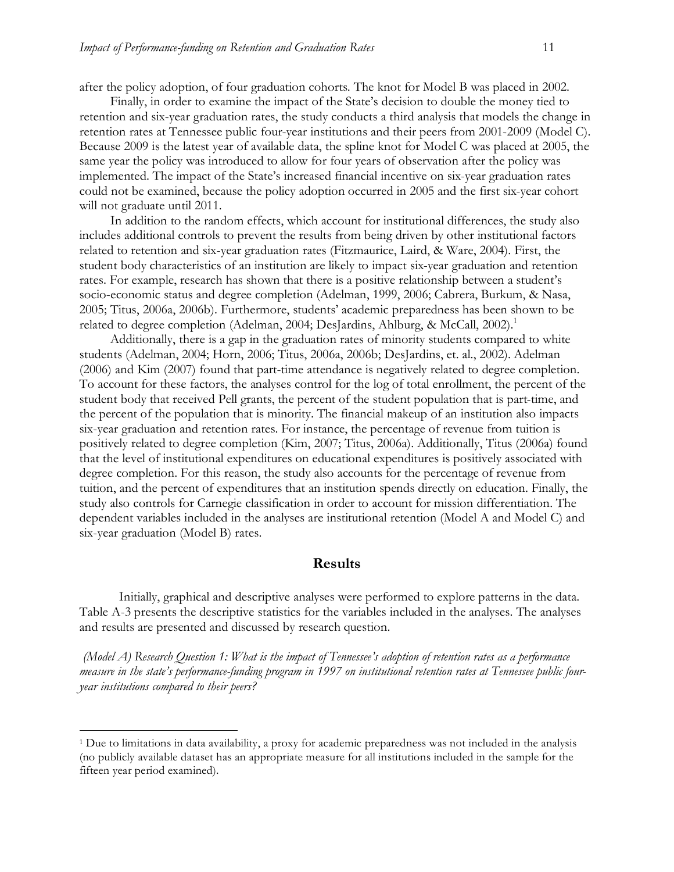after the policy adoption, of four graduation cohorts. The knot for Model B was placed in 2002.

Finally, in order to examine the impact of the State's decision to double the money tied to retention and six-year graduation rates, the study conducts a third analysis that models the change in retention rates at Tennessee public four-year institutions and their peers from 2001-2009 (Model C). Because 2009 is the latest year of available data, the spline knot for Model C was placed at 2005, the same year the policy was introduced to allow for four years of observation after the policy was implemented. The impact of the State's increased financial incentive on six-year graduation rates could not be examined, because the policy adoption occurred in 2005 and the first six-year cohort will not graduate until 2011.

In addition to the random effects, which account for institutional differences, the study also includes additional controls to prevent the results from being driven by other institutional factors related to retention and six-year graduation rates (Fitzmaurice, Laird, & Ware, 2004). First, the student body characteristics of an institution are likely to impact six-year graduation and retention rates. For example, research has shown that there is a positive relationship between a student's socio-economic status and degree completion (Adelman, 1999, 2006; Cabrera, Burkum, & Nasa, 2005; Titus, 2006a, 2006b). Furthermore, students' academic preparedness has been shown to be related to degree completion (Adelman, 2004; DesJardins, Ahlburg, & McCall, 2002).<sup>1</sup>

Additionally, there is a gap in the graduation rates of minority students compared to white students (Adelman, 2004; Horn, 2006; Titus, 2006a, 2006b; DesJardins, et. al., 2002). Adelman (2006) and Kim (2007) found that part-time attendance is negatively related to degree completion. To account for these factors, the analyses control for the log of total enrollment, the percent of the student body that received Pell grants, the percent of the student population that is part-time, and the percent of the population that is minority. The financial makeup of an institution also impacts six-year graduation and retention rates. For instance, the percentage of revenue from tuition is positively related to degree completion (Kim, 2007; Titus, 2006a). Additionally, Titus (2006a) found that the level of institutional expenditures on educational expenditures is positively associated with degree completion. For this reason, the study also accounts for the percentage of revenue from tuition, and the percent of expenditures that an institution spends directly on education. Finally, the study also controls for Carnegie classification in order to account for mission differentiation. The dependent variables included in the analyses are institutional retention (Model A and Model C) and six-year graduation (Model B) rates.

#### **Results**

Initially, graphical and descriptive analyses were performed to explore patterns in the data. Table A-3 presents the descriptive statistics for the variables included in the analyses. The analyses and results are presented and discussed by research question.

 *(Model A) Research Question 1: What is the impact of Tennessee's adoption of retention rates as a performance measure in the state's performance-funding program in 1997 on institutional retention rates at Tennessee public fouryear institutions compared to their peers?*

<sup>1</sup> Due to limitations in data availability, a proxy for academic preparedness was not included in the analysis (no publicly available dataset has an appropriate measure for all institutions included in the sample for the fifteen year period examined).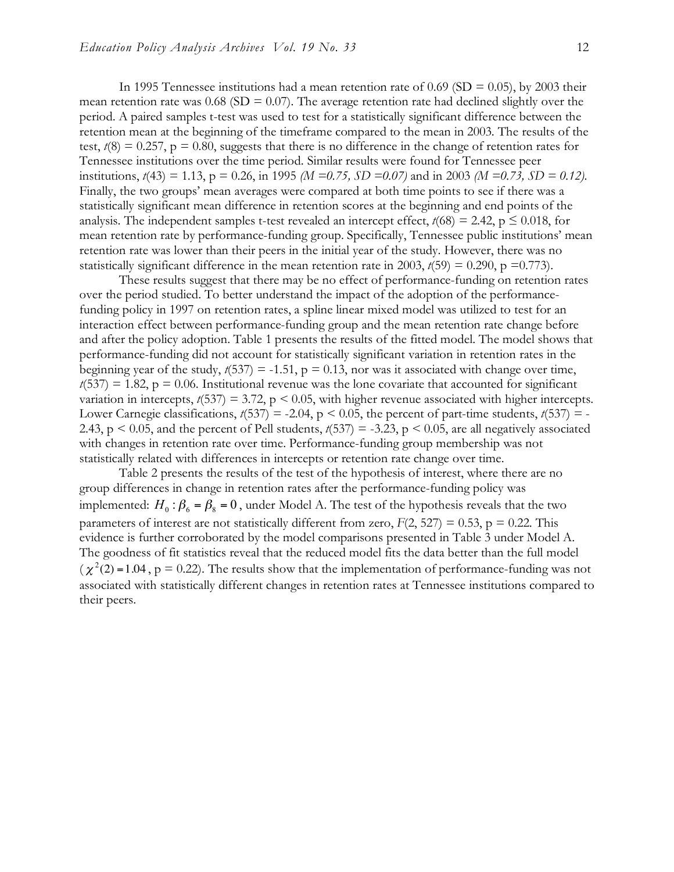In 1995 Tennessee institutions had a mean retention rate of 0.69 (SD = 0.05), by 2003 their mean retention rate was  $0.68$  (SD = 0.07). The average retention rate had declined slightly over the period. A paired samples t-test was used to test for a statistically significant difference between the retention mean at the beginning of the timeframe compared to the mean in 2003. The results of the test,  $t(8) = 0.257$ ,  $p = 0.80$ , suggests that there is no difference in the change of retention rates for Tennessee institutions over the time period. Similar results were found for Tennessee peer institutions,  $t(43) = 1.13$ ,  $p = 0.26$ , in 1995 *(M = 0.75, SD = 0.07)* and in 2003 *(M = 0.73, SD = 0.12)*. Finally, the two groups' mean averages were compared at both time points to see if there was a statistically significant mean difference in retention scores at the beginning and end points of the analysis. The independent samples t-test revealed an intercept effect,  $t(68) = 2.42$ ,  $p \le 0.018$ , for mean retention rate by performance-funding group. Specifically, Tennessee public institutions' mean retention rate was lower than their peers in the initial year of the study. However, there was no statistically significant difference in the mean retention rate in 2003,  $t(59) = 0.290$ , p =0.773).

These results suggest that there may be no effect of performance-funding on retention rates over the period studied. To better understand the impact of the adoption of the performancefunding policy in 1997 on retention rates, a spline linear mixed model was utilized to test for an interaction effect between performance-funding group and the mean retention rate change before and after the policy adoption. Table 1 presents the results of the fitted model. The model shows that performance-funding did not account for statistically significant variation in retention rates in the beginning year of the study,  $t(537) = -1.51$ ,  $p = 0.13$ , nor was it associated with change over time,  $t(537) = 1.82$ ,  $p = 0.06$ . Institutional revenue was the lone covariate that accounted for significant variation in intercepts,  $t(537) = 3.72$ ,  $p < 0.05$ , with higher revenue associated with higher intercepts. Lower Carnegie classifications,  $t(537) = -2.04$ ,  $p < 0.05$ , the percent of part-time students,  $t(537) = -$ 2.43,  $p \le 0.05$ , and the percent of Pell students,  $t(537) = -3.23$ ,  $p \le 0.05$ , are all negatively associated with changes in retention rate over time. Performance-funding group membership was not statistically related with differences in intercepts or retention rate change over time.

Table 2 presents the results of the test of the hypothesis of interest, where there are no group differences in change in retention rates after the performance-funding policy was implemented:  $H_0: \beta_6 = \beta_8 = 0$ , under Model A. The test of the hypothesis reveals that the two parameters of interest are not statistically different from zero,  $F(2, 527) = 0.53$ ,  $p = 0.22$ . This evidence is further corroborated by the model comparisons presented in Table 3 under Model A. The goodness of fit statistics reveal that the reduced model fits the data better than the full model  $(\chi^2(2) = 1.04$ , p = 0.22). The results show that the implementation of performance-funding was not associated with statistically different changes in retention rates at Tennessee institutions compared to their peers.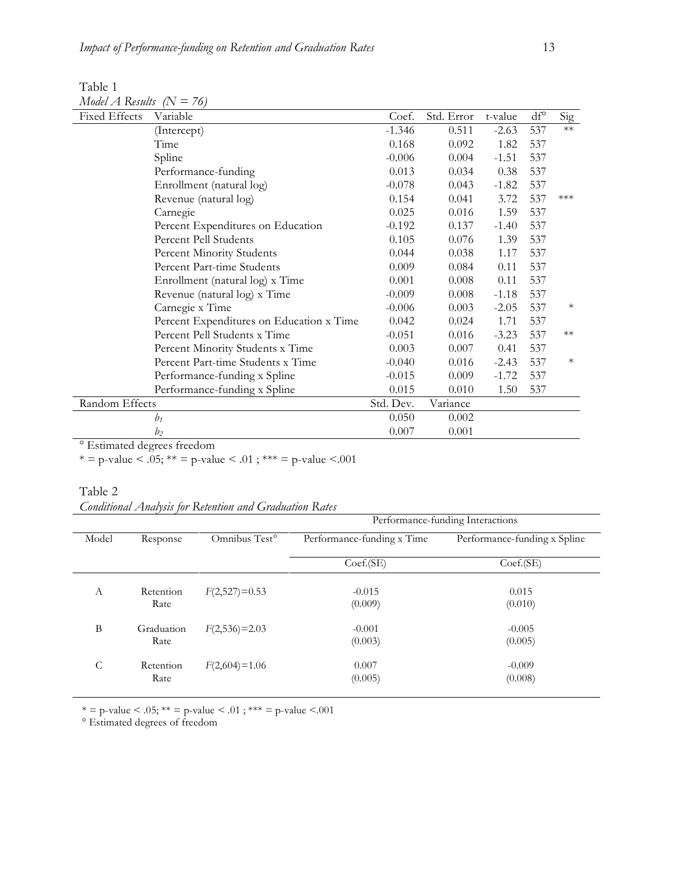| Table 1                    |  |
|----------------------------|--|
| Model A Results $(N = 76)$ |  |

| <b>Fixed Effects</b>                   | Variable                                 | Coef.     | Std. Error | t-value | $df^{\circ}$ | Sig    |
|----------------------------------------|------------------------------------------|-----------|------------|---------|--------------|--------|
|                                        | (Intercept)                              | $-1.346$  | 0.511      | $-2.63$ | 537          | $**$   |
|                                        | Time                                     | 0.168     | 0.092      | 1.82    | 537          |        |
|                                        | Spline                                   | $-0.006$  | 0.004      | $-1.51$ | 537          |        |
|                                        | Performance-funding                      | 0.013     | 0.034      | 0.38    | 537          |        |
|                                        | Enrollment (natural log)                 | $-0.078$  | 0.043      | $-1.82$ | 537          |        |
|                                        | Revenue (natural log)                    | 0.154     | 0.041      | 3.72    | 537          | ***    |
|                                        | Carnegie                                 | 0.025     | 0.016      | 1.59    | 537          |        |
|                                        | Percent Expenditures on Education        | $-0.192$  | 0.137      | $-1.40$ | 537          |        |
|                                        | Percent Pell Students                    | 0.105     | 0.076      | 1.39    | 537          |        |
|                                        | Percent Minority Students                | 0.044     | 0.038      | 1.17    | 537          |        |
|                                        | Percent Part-time Students               | 0.009     | 0.084      | 0.11    | 537          |        |
|                                        | Enrollment (natural log) x Time          | 0.001     | 0.008      | 0.11    | 537          |        |
|                                        | Revenue (natural log) x Time             | $-0.009$  | 0.008      | $-1.18$ | 537          |        |
|                                        | Carnegie x Time                          | $-0.006$  | 0.003      | $-2.05$ | 537          | $\ast$ |
|                                        | Percent Expenditures on Education x Time | 0.042     | 0.024      | 1.71    | 537          |        |
|                                        | Percent Pell Students x Time             | $-0.051$  | 0.016      | $-3.23$ | 537          | $**$   |
|                                        | Percent Minority Students x Time         | 0.003     | 0.007      | 0.41    | 537          |        |
|                                        | Percent Part-time Students x Time        | $-0.040$  | 0.016      | $-2.43$ | 537          | $\ast$ |
|                                        | Performance-funding x Spline             | $-0.015$  | 0.009      | $-1.72$ | 537          |        |
|                                        | Performance-funding x Spline             | 0.015     | 0.010      | 1.50    | 537          |        |
| Random Effects                         |                                          | Std. Dev. | Variance   |         |              |        |
|                                        | bı                                       | 0.050     | 0.002      |         |              |        |
|                                        | b <sub>2</sub>                           | 0.007     | 0.001      |         |              |        |
| <sup>o</sup> Estimated degrees froader |                                          |           |            |         |              |        |

Estimated degrees freedom

\* = p-value < .05; \*\* = p-value < .01; \*\*\* = p-value < .001

#### Table 2

| <b>Conditional Analysis for Retention and Graduation Rates</b> |  |  |  |  |  |
|----------------------------------------------------------------|--|--|--|--|--|
|----------------------------------------------------------------|--|--|--|--|--|

|       |                    |                           | Performance-funding Interactions |                              |  |  |  |
|-------|--------------------|---------------------------|----------------------------------|------------------------------|--|--|--|
| Model | Response           | Omnibus Test <sup>o</sup> | Performance-funding x Time       | Performance-funding x Spline |  |  |  |
|       |                    |                           | Coef.(SE)                        | Coef.(SE)                    |  |  |  |
| A     | Retention<br>Rate  | $F(2,527)=0.53$           | $-0.015$<br>(0.009)              | 0.015<br>(0.010)             |  |  |  |
| B     | Graduation<br>Rate | $F(2,536)=2.03$           | $-0.001$<br>(0.003)              | $-0.005$<br>(0.005)          |  |  |  |
| C     | Retention<br>Rate  | $F(2,604)=1.06$           | 0.007<br>(0.005)                 | $-0.009$<br>(0.008)          |  |  |  |

 $* =$  p-value  $< .05; ** =$  p-value  $< .01$  ;  $*** =$  p-value  $< .001$ 

° Estimated degrees of freedom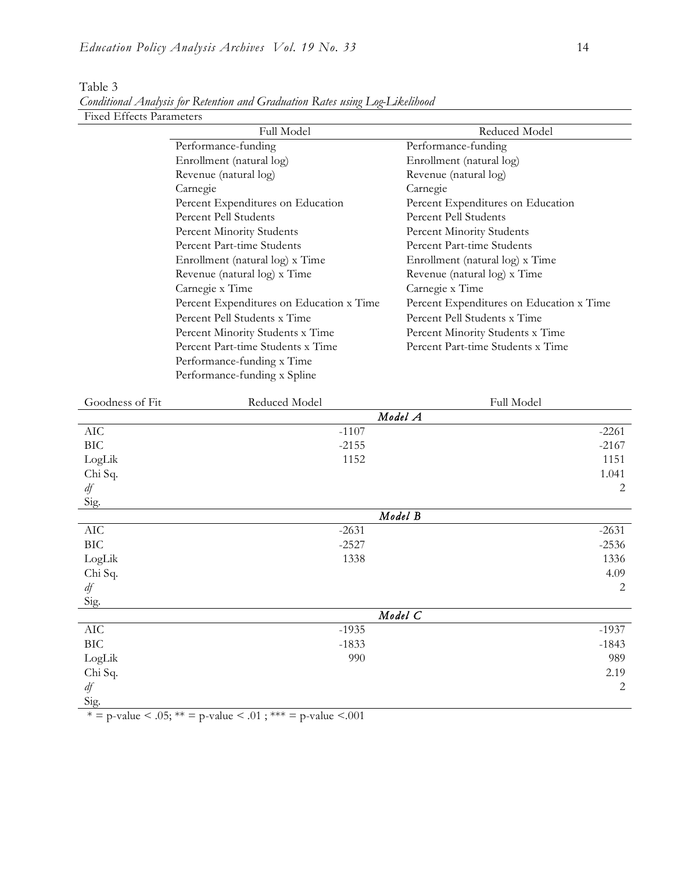| <b>Fixed Effects Parameters</b> |                                                             |                                          |
|---------------------------------|-------------------------------------------------------------|------------------------------------------|
|                                 | Full Model                                                  | Reduced Model                            |
|                                 | Performance-funding                                         | Performance-funding                      |
|                                 | Enrollment (natural log)                                    | Enrollment (natural log)                 |
|                                 | Revenue (natural log)                                       | Revenue (natural log)                    |
|                                 | Carnegie                                                    | Carnegie                                 |
|                                 | Percent Expenditures on Education                           | Percent Expenditures on Education        |
|                                 | Percent Pell Students                                       | Percent Pell Students                    |
|                                 | Percent Minority Students                                   | Percent Minority Students                |
|                                 | Percent Part-time Students                                  | Percent Part-time Students               |
|                                 | Enrollment (natural log) x Time                             | Enrollment (natural log) x Time          |
|                                 | Revenue (natural log) x Time                                | Revenue (natural log) x Time             |
|                                 | Carnegie x Time                                             | Carnegie x Time                          |
|                                 | Percent Expenditures on Education x Time                    | Percent Expenditures on Education x Time |
|                                 | Percent Pell Students x Time                                | Percent Pell Students x Time             |
|                                 | Percent Minority Students x Time                            | Percent Minority Students x Time         |
|                                 | Percent Part-time Students x Time                           | Percent Part-time Students x Time        |
|                                 | Performance-funding x Time                                  |                                          |
|                                 | Performance-funding x Spline                                |                                          |
|                                 |                                                             |                                          |
| Goodness of Fit                 | Reduced Model                                               | Full Model                               |
|                                 |                                                             | Model A                                  |
| AIC                             | $-1107$                                                     | $-2261$                                  |
| <b>BIC</b>                      | $-2155$                                                     | $-2167$                                  |
| LogLik                          | 1152                                                        | 1151                                     |
| Chi Sq.                         |                                                             | 1.041                                    |
| df                              |                                                             | 2                                        |
| Sig.                            |                                                             |                                          |
|                                 |                                                             | Model B                                  |
| AIC                             | $-2631$                                                     | $-2631$                                  |
| <b>BIC</b>                      | $-2527$                                                     | $-2536$                                  |
| LogLik                          | 1338                                                        | 1336                                     |
| Chi Sq.                         |                                                             | 4.09                                     |
| df                              |                                                             | 2                                        |
| Sig.                            |                                                             |                                          |
|                                 |                                                             | Model C                                  |
| AIC                             | $-1935$                                                     | $-1937$                                  |
| <b>BIC</b>                      | $-1833$                                                     | $-1843$                                  |
| LogLik                          | 990                                                         | 989                                      |
| Chi Sq.                         |                                                             | 2.19                                     |
| df                              |                                                             | $\overline{2}$                           |
| Sig.                            |                                                             |                                          |
|                                 | * = p-value < .05; ** = p-value < .01; *** = p-value < .001 |                                          |

Table 3 *Conditional Analysis for Retention and Graduation Rates using Log-Likelihood*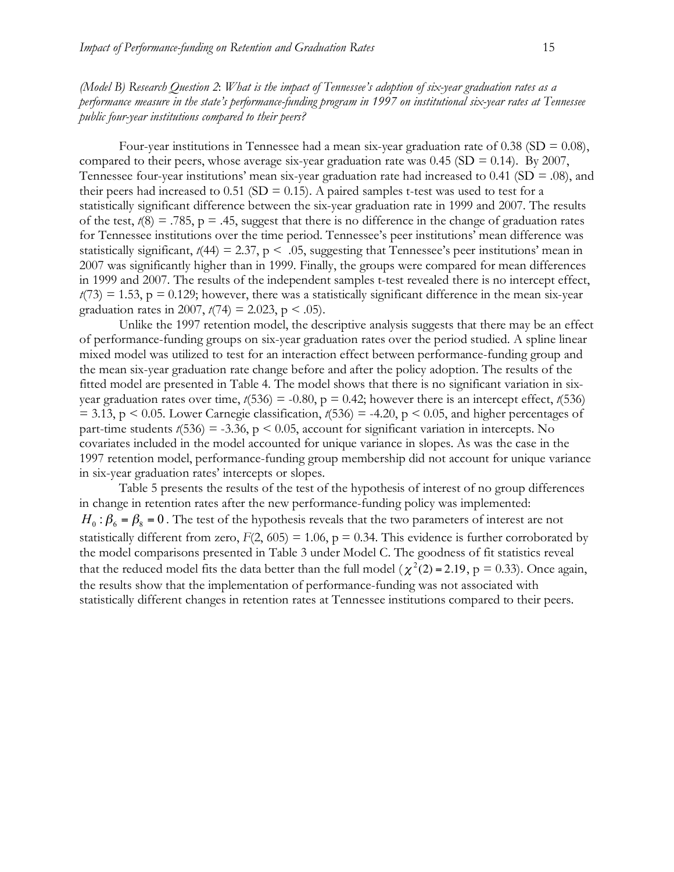*(Model B) Research Question 2*: *What is the impact of Tennessee's adoption of six-year graduation rates as a performance measure in the state's performance-funding program in 1997 on institutional six-year rates at Tennessee public four-year institutions compared to their peers?*

Four-year institutions in Tennessee had a mean six-year graduation rate of 0.38 (SD =  $0.08$ ), compared to their peers, whose average six-year graduation rate was  $0.45$  (SD = 0.14). By 2007, Tennessee four-year institutions' mean six-year graduation rate had increased to  $0.41$  (SD = .08), and their peers had increased to 0.51 (SD = 0.15). A paired samples t-test was used to test for a statistically significant difference between the six-year graduation rate in 1999 and 2007. The results of the test,  $t(8) = .785$ ,  $p = .45$ , suggest that there is no difference in the change of graduation rates for Tennessee institutions over the time period. Tennessee's peer institutions' mean difference was statistically significant,  $t(44) = 2.37$ ,  $p < .05$ , suggesting that Tennessee's peer institutions' mean in 2007 was significantly higher than in 1999. Finally, the groups were compared for mean differences in 1999 and 2007. The results of the independent samples t-test revealed there is no intercept effect,  $t(73) = 1.53$ ,  $p = 0.129$ ; however, there was a statistically significant difference in the mean six-year graduation rates in 2007,  $t(74) = 2.023$ , p < .05).

Unlike the 1997 retention model, the descriptive analysis suggests that there may be an effect of performance-funding groups on six-year graduation rates over the period studied. A spline linear mixed model was utilized to test for an interaction effect between performance-funding group and the mean six-year graduation rate change before and after the policy adoption. The results of the fitted model are presented in Table 4. The model shows that there is no significant variation in sixyear graduation rates over time,  $t(536) = -0.80$ ,  $p = 0.42$ ; however there is an intercept effect,  $t(536)$  $= 3.13$ , p  $\leq 0.05$ . Lower Carnegie classification,  $t(536) = -4.20$ , p  $\leq 0.05$ , and higher percentages of part-time students  $t(536) = -3.36$ ,  $p < 0.05$ , account for significant variation in intercepts. No covariates included in the model accounted for unique variance in slopes. As was the case in the 1997 retention model, performance-funding group membership did not account for unique variance in six-year graduation rates' intercepts or slopes.

Table 5 presents the results of the test of the hypothesis of interest of no group differences in change in retention rates after the new performance-funding policy was implemented:  $H_0$ :  $\beta_6 = \beta_8 = 0$ . The test of the hypothesis reveals that the two parameters of interest are not statistically different from zero,  $F(2, 605) = 1.06$ ,  $p = 0.34$ . This evidence is further corroborated by the model comparisons presented in Table 3 under Model C. The goodness of fit statistics reveal that the reduced model fits the data better than the full model ( $\chi^2(2) = 2.19$ , p = 0.33). Once again, the results show that the implementation of performance-funding was not associated with statistically different changes in retention rates at Tennessee institutions compared to their peers.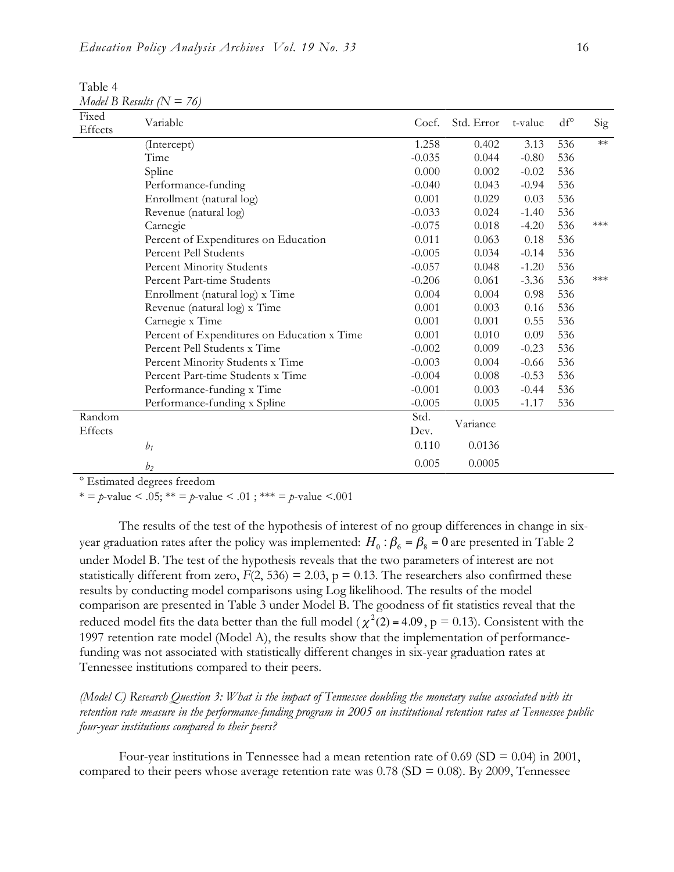Table 4 *Model B Results (N = 76)*

| Fixed<br>Effects | Variable                                    | Coef.    | Std. Error | t-value | df° | Sig  |
|------------------|---------------------------------------------|----------|------------|---------|-----|------|
|                  | (Intercept)                                 | 1.258    | 0.402      | 3.13    | 536 | $**$ |
|                  | Time                                        | $-0.035$ | 0.044      | $-0.80$ | 536 |      |
|                  | Spline                                      | 0.000    | 0.002      | $-0.02$ | 536 |      |
|                  | Performance-funding                         | $-0.040$ | 0.043      | $-0.94$ | 536 |      |
|                  | Enrollment (natural log)                    | 0.001    | 0.029      | 0.03    | 536 |      |
|                  | Revenue (natural log)                       | $-0.033$ | 0.024      | $-1.40$ | 536 |      |
|                  | Carnegie                                    | $-0.075$ | 0.018      | $-4.20$ | 536 | ***  |
|                  | Percent of Expenditures on Education        | 0.011    | 0.063      | 0.18    | 536 |      |
|                  | Percent Pell Students                       | $-0.005$ | 0.034      | $-0.14$ | 536 |      |
|                  | Percent Minority Students                   | $-0.057$ | 0.048      | $-1.20$ | 536 |      |
|                  | Percent Part-time Students                  | $-0.206$ | 0.061      | $-3.36$ | 536 | ***  |
|                  | Enrollment (natural log) x Time             | 0.004    | 0.004      | 0.98    | 536 |      |
|                  | Revenue (natural log) x Time                | 0.001    | 0.003      | 0.16    | 536 |      |
|                  | Carnegie x Time                             | 0.001    | 0.001      | 0.55    | 536 |      |
|                  | Percent of Expenditures on Education x Time | 0.001    | 0.010      | 0.09    | 536 |      |
|                  | Percent Pell Students x Time                | $-0.002$ | 0.009      | $-0.23$ | 536 |      |
|                  | Percent Minority Students x Time            | $-0.003$ | 0.004      | $-0.66$ | 536 |      |
|                  | Percent Part-time Students x Time           | $-0.004$ | 0.008      | $-0.53$ | 536 |      |
|                  | Performance-funding x Time                  | $-0.001$ | 0.003      | $-0.44$ | 536 |      |
|                  | Performance-funding x Spline                | $-0.005$ | 0.005      | $-1.17$ | 536 |      |
| Random           |                                             | Std.     |            |         |     |      |
| Effects          |                                             | Dev.     | Variance   |         |     |      |
|                  | $b_1$                                       | 0.110    | 0.0136     |         |     |      |
|                  | b <sub>2</sub>                              | 0.005    | 0.0005     |         |     |      |

° Estimated degrees freedom

\* =  $p$ -value < .05; \*\* =  $p$ -value < .01; \*\*\* =  $p$ -value < .001

The results of the test of the hypothesis of interest of no group differences in change in sixyear graduation rates after the policy was implemented:  $H_0$ :  $\beta_6 = \beta_8 = 0$  are presented in Table 2 under Model B. The test of the hypothesis reveals that the two parameters of interest are not statistically different from zero,  $F(2, 536) = 2.03$ ,  $p = 0.13$ . The researchers also confirmed these results by conducting model comparisons using Log likelihood. The results of the model comparison are presented in Table 3 under Model B. The goodness of fit statistics reveal that the reduced model fits the data better than the full model ( $\chi^2(2)$  = 4.09, p = 0.13). Consistent with the ! Tennessee institutions compared to their peers. 1997 retention rate model (Model A), the results show that the implementation of performancefunding was not associated with statistically different changes in six-year graduation rates at

*(Model C) Research Question 3: What is the impact of Tennessee doubling the monetary value associated with its retention rate measure in the performance-funding program in 2005 on institutional retention rates at Tennessee public four-year institutions compared to their peers?*

Four-year institutions in Tennessee had a mean retention rate of 0.69 (SD =  $0.04$ ) in 2001, compared to their peers whose average retention rate was  $0.78$  (SD = 0.08). By 2009, Tennessee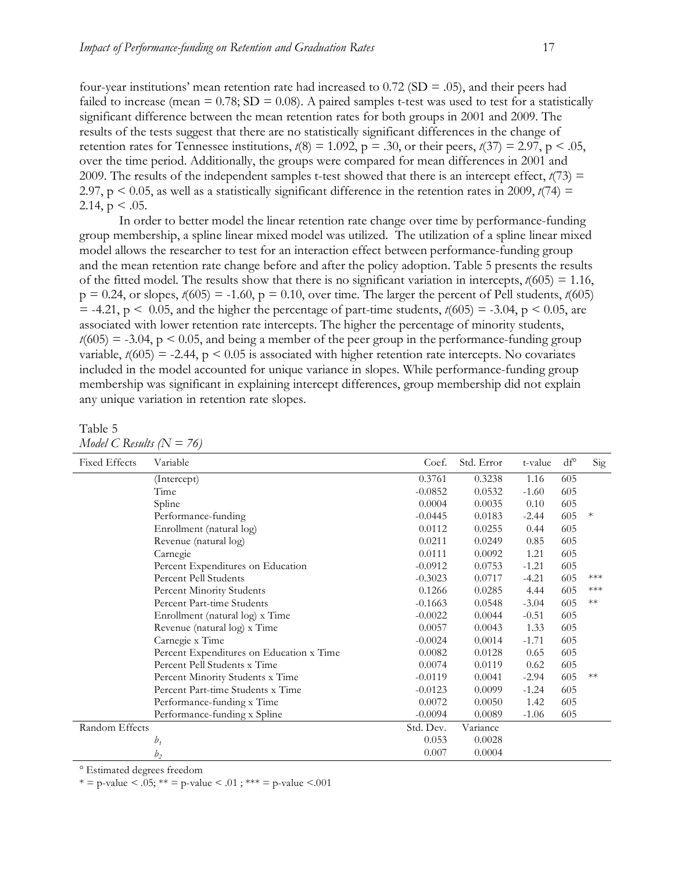four-year institutions' mean retention rate had increased to  $0.72$  (SD = .05), and their peers had failed to increase (mean  $= 0.78$ ; SD  $= 0.08$ ). A paired samples t-test was used to test for a statistically significant difference between the mean retention rates for both groups in 2001 and 2009. The results of the tests suggest that there are no statistically significant differences in the change of retention rates for Tennessee institutions,  $t(8) = 1.092$ ,  $p = .30$ , or their peers,  $t(37) = 2.97$ ,  $p < .05$ , over the time period. Additionally, the groups were compared for mean differences in 2001 and 2009. The results of the independent samples t-test showed that there is an intercept effect,  $t(73)$  = 2.97, p  $\leq$  0.05, as well as a statistically significant difference in the retention rates in 2009, *t*(74) = 2.14,  $p < .05$ .

In order to better model the linear retention rate change over time by performance-funding group membership, a spline linear mixed model was utilized. The utilization of a spline linear mixed model allows the researcher to test for an interaction effect between performance-funding group and the mean retention rate change before and after the policy adoption. Table 5 presents the results of the fitted model. The results show that there is no significant variation in intercepts, *t*(605) = 1.16,  $p = 0.24$ , or slopes,  $t(605) = -1.60$ ,  $p = 0.10$ , over time. The larger the percent of Pell students,  $t(605)$  $=$  -4.21,  $p \le 0.05$ , and the higher the percentage of part-time students,  $t(605) = -3.04$ ,  $p \le 0.05$ , are associated with lower retention rate intercepts. The higher the percentage of minority students,  $t(605) = -3.04$ ,  $p \le 0.05$ , and being a member of the peer group in the performance-funding group variable,  $t(605) = -2.44$ ,  $p \le 0.05$  is associated with higher retention rate intercepts. No covariates included in the model accounted for unique variance in slopes. While performance-funding group membership was significant in explaining intercept differences, group membership did not explain any unique variation in retention rate slopes.

Table 5 *Model C Results (N = 76)*

| <b>Fixed Effects</b> | Variable                                 | Coef.     | Std. Error | t-value | $df^{\circ}$ | Sig    |
|----------------------|------------------------------------------|-----------|------------|---------|--------------|--------|
|                      | (Intercept)                              | 0.3761    | 0.3238     | 1.16    | 605          |        |
|                      | Time                                     | $-0.0852$ | 0.0532     | $-1.60$ | 605          |        |
|                      | Spline                                   | 0.0004    | 0.0035     | 0.10    | 605          |        |
|                      | Performance-funding                      | $-0.0445$ | 0.0183     | $-2.44$ | 605          | $\ast$ |
|                      | Enrollment (natural log)                 | 0.0112    | 0.0255     | 0.44    | 605          |        |
|                      | Revenue (natural log)                    | 0.0211    | 0.0249     | 0.85    | 605          |        |
|                      | Carnegie                                 | 0.0111    | 0.0092     | 1.21    | 605          |        |
|                      | Percent Expenditures on Education        | $-0.0912$ | 0.0753     | $-1.21$ | 605          |        |
|                      | Percent Pell Students                    | $-0.3023$ | 0.0717     | $-4.21$ | 605          | ***    |
|                      | Percent Minority Students                | 0.1266    | 0.0285     | 4.44    | 605          | $***$  |
|                      | Percent Part-time Students               | $-0.1663$ | 0.0548     | $-3.04$ | 605          | $**$   |
|                      | Enrollment (natural log) x Time          | $-0.0022$ | 0.0044     | $-0.51$ | 605          |        |
|                      | Revenue (natural log) x Time             | 0.0057    | 0.0043     | 1.33    | 605          |        |
|                      | Carnegie x Time                          | $-0.0024$ | 0.0014     | $-1.71$ | 605          |        |
|                      | Percent Expenditures on Education x Time | 0.0082    | 0.0128     | 0.65    | 605          |        |
|                      | Percent Pell Students x Time             | 0.0074    | 0.0119     | 0.62    | 605          |        |
|                      | Percent Minority Students x Time         | $-0.0119$ | 0.0041     | $-2.94$ | 605          | $**$   |
|                      | Percent Part-time Students x Time        | $-0.0123$ | 0.0099     | $-1.24$ | 605          |        |
|                      | Performance-funding x Time               | 0.0072    | 0.0050     | 1.42    | 605          |        |
|                      | Performance-funding x Spline             | $-0.0094$ | 0.0089     | $-1.06$ | 605          |        |
| Random Effects       |                                          | Std. Dev. | Variance   |         |              |        |
|                      | $b_1$                                    | 0.053     | 0.0028     |         |              |        |
|                      | b <sub>2</sub>                           | 0.007     | 0.0004     |         |              |        |

° Estimated degrees freedom

\* = p-value < .05; \*\* = p-value < .01; \*\*\* = p-value < .001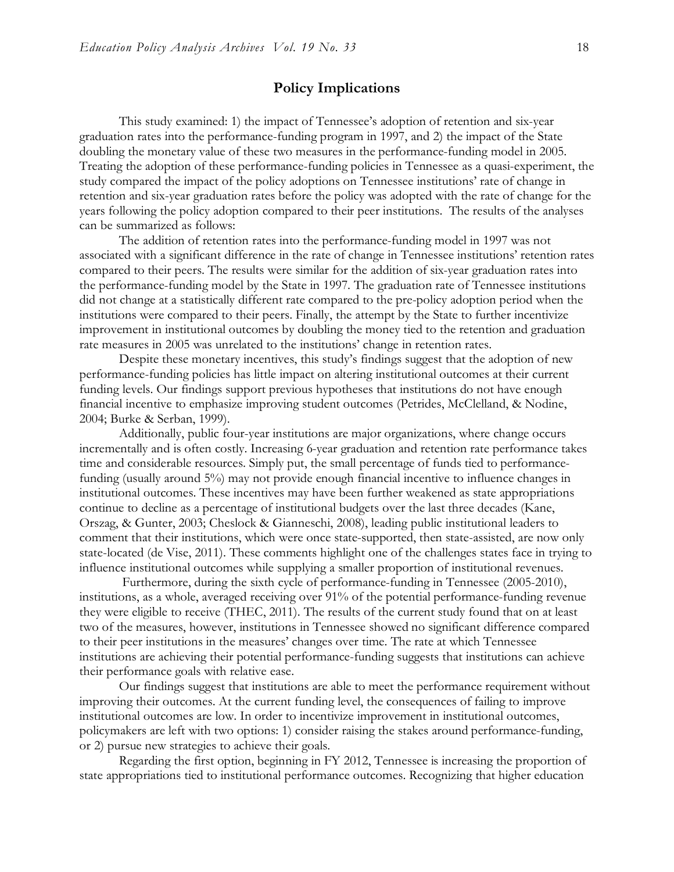### **Policy Implications**

This study examined: 1) the impact of Tennessee's adoption of retention and six-year graduation rates into the performance-funding program in 1997, and 2) the impact of the State doubling the monetary value of these two measures in the performance-funding model in 2005. Treating the adoption of these performance-funding policies in Tennessee as a quasi-experiment, the study compared the impact of the policy adoptions on Tennessee institutions' rate of change in retention and six-year graduation rates before the policy was adopted with the rate of change for the years following the policy adoption compared to their peer institutions. The results of the analyses can be summarized as follows:

The addition of retention rates into the performance-funding model in 1997 was not associated with a significant difference in the rate of change in Tennessee institutions' retention rates compared to their peers. The results were similar for the addition of six-year graduation rates into the performance-funding model by the State in 1997. The graduation rate of Tennessee institutions did not change at a statistically different rate compared to the pre-policy adoption period when the institutions were compared to their peers. Finally, the attempt by the State to further incentivize improvement in institutional outcomes by doubling the money tied to the retention and graduation rate measures in 2005 was unrelated to the institutions' change in retention rates.

Despite these monetary incentives, this study's findings suggest that the adoption of new performance-funding policies has little impact on altering institutional outcomes at their current funding levels. Our findings support previous hypotheses that institutions do not have enough financial incentive to emphasize improving student outcomes (Petrides, McClelland, & Nodine, 2004; Burke & Serban, 1999).

Additionally, public four-year institutions are major organizations, where change occurs incrementally and is often costly. Increasing 6-year graduation and retention rate performance takes time and considerable resources. Simply put, the small percentage of funds tied to performancefunding (usually around 5%) may not provide enough financial incentive to influence changes in institutional outcomes. These incentives may have been further weakened as state appropriations continue to decline as a percentage of institutional budgets over the last three decades (Kane, Orszag, & Gunter, 2003; Cheslock & Gianneschi, 2008), leading public institutional leaders to comment that their institutions, which were once state-supported, then state-assisted, are now only state-located (de Vise, 2011). These comments highlight one of the challenges states face in trying to influence institutional outcomes while supplying a smaller proportion of institutional revenues.

 Furthermore, during the sixth cycle of performance-funding in Tennessee (2005-2010), institutions, as a whole, averaged receiving over 91% of the potential performance-funding revenue they were eligible to receive (THEC, 2011). The results of the current study found that on at least two of the measures, however, institutions in Tennessee showed no significant difference compared to their peer institutions in the measures' changes over time. The rate at which Tennessee institutions are achieving their potential performance-funding suggests that institutions can achieve their performance goals with relative ease.

Our findings suggest that institutions are able to meet the performance requirement without improving their outcomes. At the current funding level, the consequences of failing to improve institutional outcomes are low. In order to incentivize improvement in institutional outcomes, policymakers are left with two options: 1) consider raising the stakes around performance-funding, or 2) pursue new strategies to achieve their goals.

Regarding the first option, beginning in FY 2012, Tennessee is increasing the proportion of state appropriations tied to institutional performance outcomes. Recognizing that higher education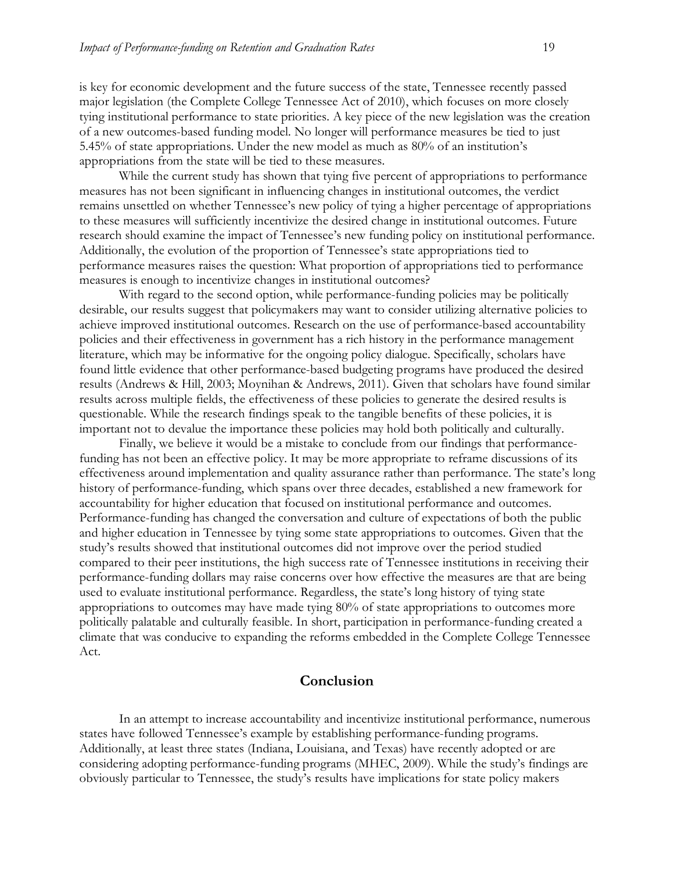is key for economic development and the future success of the state, Tennessee recently passed major legislation (the Complete College Tennessee Act of 2010), which focuses on more closely tying institutional performance to state priorities. A key piece of the new legislation was the creation of a new outcomes-based funding model. No longer will performance measures be tied to just 5.45% of state appropriations. Under the new model as much as 80% of an institution's appropriations from the state will be tied to these measures.

While the current study has shown that tying five percent of appropriations to performance measures has not been significant in influencing changes in institutional outcomes, the verdict remains unsettled on whether Tennessee's new policy of tying a higher percentage of appropriations to these measures will sufficiently incentivize the desired change in institutional outcomes. Future research should examine the impact of Tennessee's new funding policy on institutional performance. Additionally, the evolution of the proportion of Tennessee's state appropriations tied to performance measures raises the question: What proportion of appropriations tied to performance measures is enough to incentivize changes in institutional outcomes?

With regard to the second option, while performance-funding policies may be politically desirable, our results suggest that policymakers may want to consider utilizing alternative policies to achieve improved institutional outcomes. Research on the use of performance-based accountability policies and their effectiveness in government has a rich history in the performance management literature, which may be informative for the ongoing policy dialogue. Specifically, scholars have found little evidence that other performance-based budgeting programs have produced the desired results (Andrews & Hill, 2003; Moynihan & Andrews, 2011). Given that scholars have found similar results across multiple fields, the effectiveness of these policies to generate the desired results is questionable. While the research findings speak to the tangible benefits of these policies, it is important not to devalue the importance these policies may hold both politically and culturally.

Finally, we believe it would be a mistake to conclude from our findings that performancefunding has not been an effective policy. It may be more appropriate to reframe discussions of its effectiveness around implementation and quality assurance rather than performance. The state's long history of performance-funding, which spans over three decades, established a new framework for accountability for higher education that focused on institutional performance and outcomes. Performance-funding has changed the conversation and culture of expectations of both the public and higher education in Tennessee by tying some state appropriations to outcomes. Given that the study's results showed that institutional outcomes did not improve over the period studied compared to their peer institutions, the high success rate of Tennessee institutions in receiving their performance-funding dollars may raise concerns over how effective the measures are that are being used to evaluate institutional performance. Regardless, the state's long history of tying state appropriations to outcomes may have made tying 80% of state appropriations to outcomes more politically palatable and culturally feasible. In short, participation in performance-funding created a climate that was conducive to expanding the reforms embedded in the Complete College Tennessee Act.

### **Conclusion**

In an attempt to increase accountability and incentivize institutional performance, numerous states have followed Tennessee's example by establishing performance-funding programs. Additionally, at least three states (Indiana, Louisiana, and Texas) have recently adopted or are considering adopting performance-funding programs (MHEC, 2009). While the study's findings are obviously particular to Tennessee, the study's results have implications for state policy makers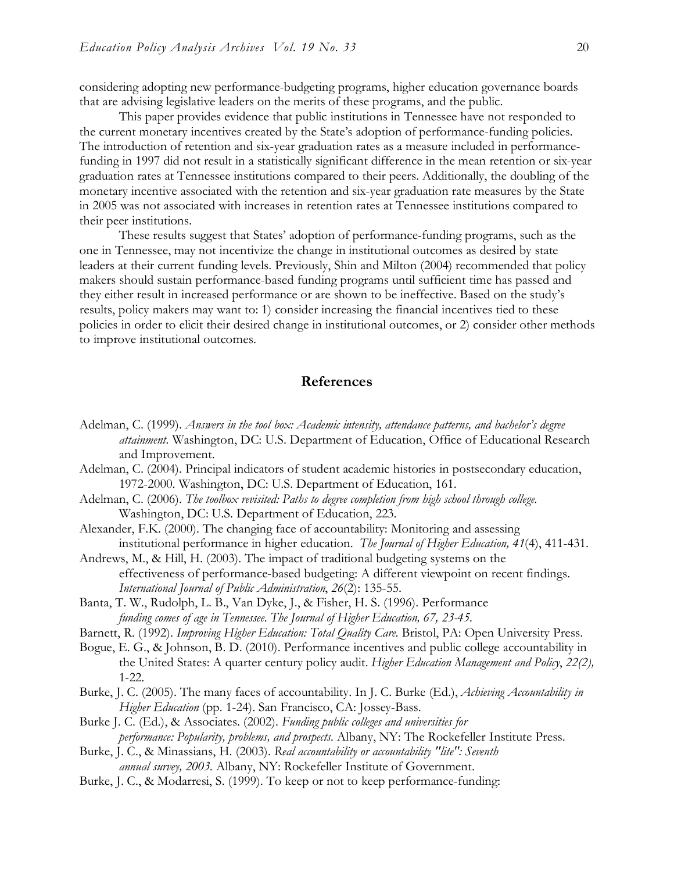considering adopting new performance-budgeting programs, higher education governance boards that are advising legislative leaders on the merits of these programs, and the public.

This paper provides evidence that public institutions in Tennessee have not responded to the current monetary incentives created by the State's adoption of performance-funding policies. The introduction of retention and six-year graduation rates as a measure included in performancefunding in 1997 did not result in a statistically significant difference in the mean retention or six-year graduation rates at Tennessee institutions compared to their peers. Additionally, the doubling of the monetary incentive associated with the retention and six-year graduation rate measures by the State in 2005 was not associated with increases in retention rates at Tennessee institutions compared to their peer institutions.

These results suggest that States' adoption of performance-funding programs, such as the one in Tennessee, may not incentivize the change in institutional outcomes as desired by state leaders at their current funding levels. Previously, Shin and Milton (2004) recommended that policy makers should sustain performance-based funding programs until sufficient time has passed and they either result in increased performance or are shown to be ineffective. Based on the study's results, policy makers may want to: 1) consider increasing the financial incentives tied to these policies in order to elicit their desired change in institutional outcomes, or 2) consider other methods to improve institutional outcomes.

#### **References**

- Adelman, C. (1999). *Answers in the tool box: Academic intensity, attendance patterns, and bachelor's degree attainment.* Washington, DC: U.S. Department of Education, Office of Educational Research and Improvement.
- Adelman, C. (2004). Principal indicators of student academic histories in postsecondary education, 1972-2000. Washington, DC: U.S. Department of Education, 161.
- Adelman, C. (2006). *The toolbox revisited: Paths to degree completion from high school through college*. Washington, DC: U.S. Department of Education, 223.
- Alexander, F.K. (2000). The changing face of accountability: Monitoring and assessing institutional performance in higher education. *The Journal of Higher Education, 41*(4), 411-431.
- Andrews, M., & Hill, H. (2003). The impact of traditional budgeting systems on the effectiveness of performance-based budgeting: A different viewpoint on recent findings. *International Journal of Public Administration*, *26*(2): 135-55.
- Banta, T. W., Rudolph, L. B., Van Dyke, J., & Fisher, H. S. (1996). Performance *funding comes of age in Tennessee. The Journal of Higher Education, 67, 23-45.*
- Barnett, R. (1992). *Improving Higher Education: Total Quality Care*. Bristol, PA: Open University Press.
- Bogue, E. G., & Johnson, B. D. (2010). Performance incentives and public college accountability in the United States: A quarter century policy audit. *Higher Education Management and Policy*, *22(2),*  1-22.
- Burke, J. C. (2005). The many faces of accountability. In J. C. Burke (Ed.), *Achieving Accountability in Higher Education* (pp. 1-24). San Francisco, CA: Jossey-Bass.
- Burke J. C. (Ed.), & Associates. (2002). *Funding public colleges and universities for performance: Popularity, problems, and prospects.* Albany, NY: The Rockefeller Institute Press.
- Burke, J. C., & Minassians, H. (2003). *Real accountability or accountability "lite": Seventh annual survey, 2003.* Albany, NY: Rockefeller Institute of Government.
- Burke, J. C., & Modarresi, S. (1999). To keep or not to keep performance-funding: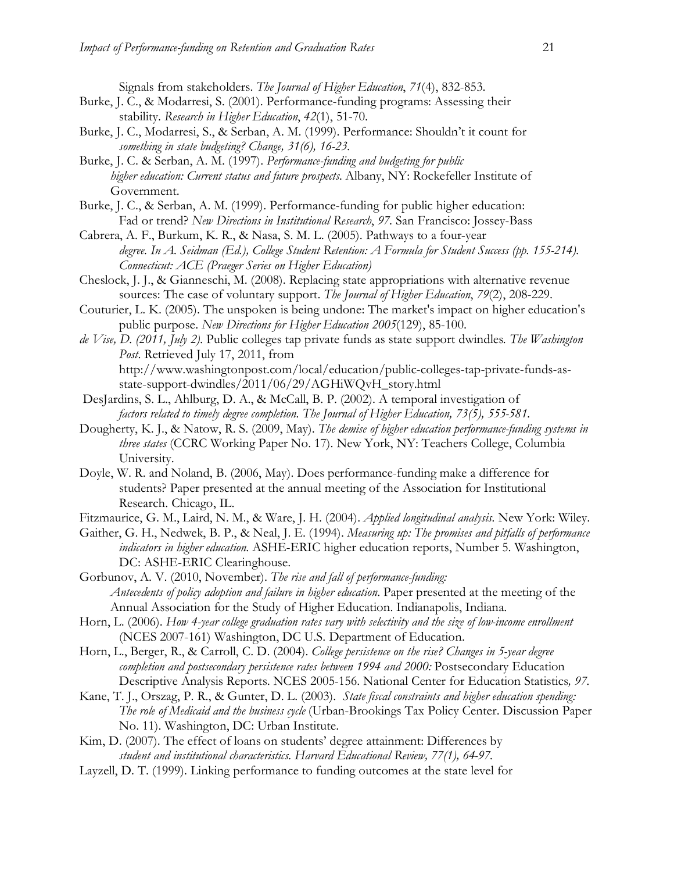Signals from stakeholders. *The Journal of Higher Education*, *71*(4), 832-853.

- Burke, J. C., & Modarresi, S. (2001). Performance-funding programs: Assessing their stability. *Research in Higher Education*, *42*(1), 51-70.
- Burke, J. C., Modarresi, S., & Serban, A. M. (1999). Performance: Shouldn't it count for *something in state budgeting? Change, 31(6), 16-23.*
- Burke, J. C. & Serban, A. M. (1997). *Performance-funding and budgeting for public higher education: Current status and future prospects.* Albany, NY: Rockefeller Institute of Government.
- Burke, J. C., & Serban, A. M. (1999). Performance-funding for public higher education: Fad or trend? *New Directions in Institutional Research*, *97*. San Francisco: Jossey-Bass
- Cabrera, A. F., Burkum, K. R., & Nasa, S. M. L. (2005). Pathways to a four-year *degree. In A. Seidman (Ed.), College Student Retention: A Formula for Student Success (pp. 155-214). Connecticut: ACE (Praeger Series on Higher Education)*
- Cheslock, J. J., & Gianneschi, M. (2008). Replacing state appropriations with alternative revenue sources: The case of voluntary support. *The Journal of Higher Education*, *79*(2), 208-229.
- Couturier, L. K. (2005). The unspoken is being undone: The market's impact on higher education's public purpose. *New Directions for Higher Education 2005*(129), 85-100.
- *de Vise, D. (2011, July 2).* Public colleges tap private funds as state support dwindles*. The Washington Post*. Retrieved July 17, 2011, from http://www.washingtonpost.com/local/education/public-colleges-tap-private-funds-asstate-support-dwindles/2011/06/29/AGHiWQvH\_story.html
- DesJardins, S. L., Ahlburg, D. A., & McCall, B. P. (2002). A temporal investigation of *factors related to timely degree completion. The Journal of Higher Education, 73(5), 555-581.*
- Dougherty, K. J., & Natow, R. S. (2009, May). *The demise of higher education performance-funding systems in three states* (CCRC Working Paper No. 17). New York, NY: Teachers College, Columbia University.
- Doyle, W. R. and Noland, B. (2006, May). Does performance-funding make a difference for students? Paper presented at the annual meeting of the Association for Institutional Research. Chicago, IL.
- Fitzmaurice, G. M., Laird, N. M., & Ware, J. H. (2004). *Applied longitudinal analysis.* New York: Wiley.
- Gaither, G. H., Nedwek, B. P., & Neal, J. E. (1994). *Measuring up: The promises and pitfalls of performance indicators in higher education*. ASHE-ERIC higher education reports, Number 5. Washington, DC: ASHE-ERIC Clearinghouse.
- Gorbunov, A. V. (2010, November). *The rise and fall of performance-funding: Antecedents of policy adoption and failure in higher education*. Paper presented at the meeting of the Annual Association for the Study of Higher Education. Indianapolis, Indiana.
- Horn, L. (2006). *How 4-year college graduation rates vary with selectivity and the size of low-income enrollment*  (NCES 2007-161) Washington, DC U.S. Department of Education.
- Horn, L., Berger, R., & Carroll, C. D. (2004). *College persistence on the rise? Changes in 5-year degree*  completion and postsecondary persistence rates between 1994 and 2000: Postsecondary Education Descriptive Analysis Reports. NCES 2005-156. National Center for Education Statistics*, 97.*
- Kane, T. J., Orszag, P. R., & Gunter, D. L. (2003). *State fiscal constraints and higher education spending: The role of Medicaid and the business cycle* (Urban-Brookings Tax Policy Center. Discussion Paper No. 11). Washington, DC: Urban Institute.
- Kim, D. (2007). The effect of loans on students' degree attainment: Differences by *student and institutional characteristics. Harvard Educational Review, 77(1), 64-97.*
- Layzell, D. T. (1999). Linking performance to funding outcomes at the state level for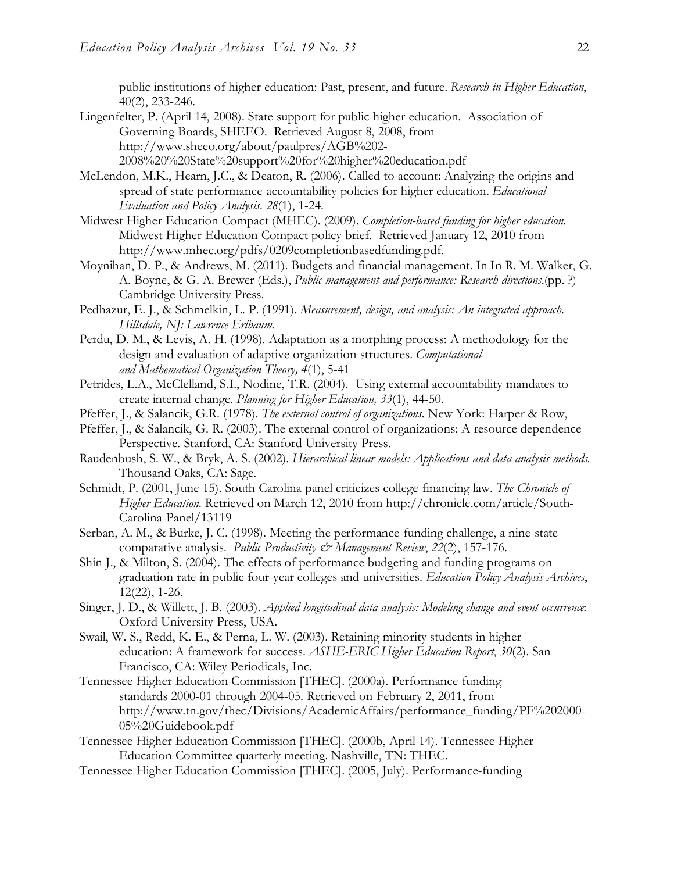public institutions of higher education: Past, present, and future. *Research in Higher Education*, 40(2), 233-246.

- Lingenfelter, P. (April 14, 2008). State support for public higher education. Association of Governing Boards, SHEEO. Retrieved August 8, 2008, from http://www.sheeo.org/about/paulpres/AGB%202- 2008%20%20State%20support%20for%20higher%20education.pdf
- McLendon, M.K., Hearn, J.C., & Deaton, R. (2006). Called to account: Analyzing the origins and spread of state performance-accountability policies for higher education. *Educational Evaluation and Policy Analysis. 28*(1), 1-24.
- Midwest Higher Education Compact (MHEC). (2009). *Completion-based funding for higher education*. Midwest Higher Education Compact policy brief. Retrieved January 12, 2010 from http://www.mhec.org/pdfs/0209completionbasedfunding.pdf.
- Moynihan, D. P., & Andrews, M. (2011). Budgets and financial management. In In R. M. Walker, G. A. Boyne, & G. A. Brewer (Eds.), *Public management and performance: Research directions.*(pp. ?) Cambridge University Press.
- Pedhazur, E. J., & Schmelkin, L. P. (1991). *Measurement, design, and analysis: An integrated approach. Hillsdale, NJ: Lawrence Erlbaum.*
- Perdu, D. M., & Levis, A. H. (1998). Adaptation as a morphing process: A methodology for the design and evaluation of adaptive organization structures. *Computational and Mathematical Organization Theory, 4*(1), 5-41
- Petrides, L.A., McClelland, S.I., Nodine, T.R. (2004). Using external accountability mandates to create internal change. *Planning for Higher Education, 33*(1), 44-50.
- Pfeffer, J., & Salancik, G.R. (1978). *The external control of organizations.* New York: Harper & Row,
- Pfeffer, J., & Salancik, G. R. (2003). The external control of organizations: A resource dependence Perspective*.* Stanford, CA: Stanford University Press.
- Raudenbush, S. W., & Bryk, A. S. (2002). *Hierarchical linear models: Applications and data analysis methods*. Thousand Oaks, CA: Sage.
- Schmidt, P. (2001, June 15). South Carolina panel criticizes college-financing law. *The Chronicle of Higher Education.* Retrieved on March 12, 2010 from http://chronicle.com/article/South-Carolina-Panel/13119
- Serban, A. M., & Burke, J. C. (1998). Meeting the performance-funding challenge, a nine-state comparative analysis. *Public Productivity & Management Review*, *22*(2), 157-176.
- Shin J., & Milton, S. (2004). The effects of performance budgeting and funding programs on graduation rate in public four-year colleges and universities. *Education Policy Analysis Archives*, 12(22), 1-26.
- Singer, J. D., & Willett, J. B. (2003). *Applied longitudinal data analysis: Modeling change and event occurrence*: Oxford University Press, USA.
- Swail, W. S., Redd, K. E., & Perna, L. W. (2003). Retaining minority students in higher education: A framework for success. *ASHE-ERIC Higher Education Report*, *30*(2). San Francisco, CA: Wiley Periodicals, Inc.
- Tennessee Higher Education Commission [THEC]. (2000a). Performance-funding standards 2000-01 through 2004-05. Retrieved on February 2, 2011, from http://www.tn.gov/thec/Divisions/AcademicAffairs/performance\_funding/PF%202000- 05%20Guidebook.pdf
- Tennessee Higher Education Commission [THEC]. (2000b, April 14). Tennessee Higher Education Committee quarterly meeting. Nashville, TN: THEC.
- Tennessee Higher Education Commission [THEC]. (2005, July). Performance-funding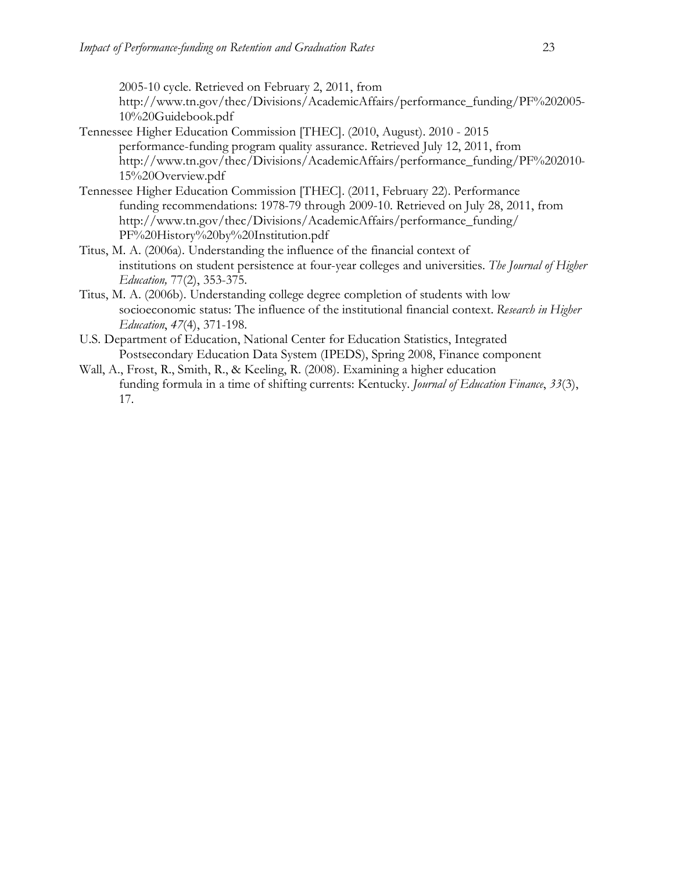2005-10 cycle. Retrieved on February 2, 2011, from http://www.tn.gov/thec/Divisions/AcademicAffairs/performance\_funding/PF%202005- 10%20Guidebook.pdf

- Tennessee Higher Education Commission [THEC]. (2010, August). 2010 2015 performance-funding program quality assurance. Retrieved July 12, 2011, from http://www.tn.gov/thec/Divisions/AcademicAffairs/performance\_funding/PF%202010- 15%20Overview.pdf
- Tennessee Higher Education Commission [THEC]. (2011, February 22). Performance funding recommendations: 1978-79 through 2009-10. Retrieved on July 28, 2011, from http://www.tn.gov/thec/Divisions/AcademicAffairs/performance\_funding/ PF%20History%20by%20Institution.pdf
- Titus, M. A. (2006a). Understanding the influence of the financial context of institutions on student persistence at four-year colleges and universities. *The Journal of Higher Education,* 77(2), 353-375.
- Titus, M. A. (2006b). Understanding college degree completion of students with low socioeconomic status: The influence of the institutional financial context. *Research in Higher Education*, *47*(4), 371-198.
- U.S. Department of Education, National Center for Education Statistics, Integrated Postsecondary Education Data System (IPEDS), Spring 2008, Finance component
- Wall, A., Frost, R., Smith, R., & Keeling, R. (2008). Examining a higher education funding formula in a time of shifting currents: Kentucky. *Journal of Education Finance*, *33*(3), 17.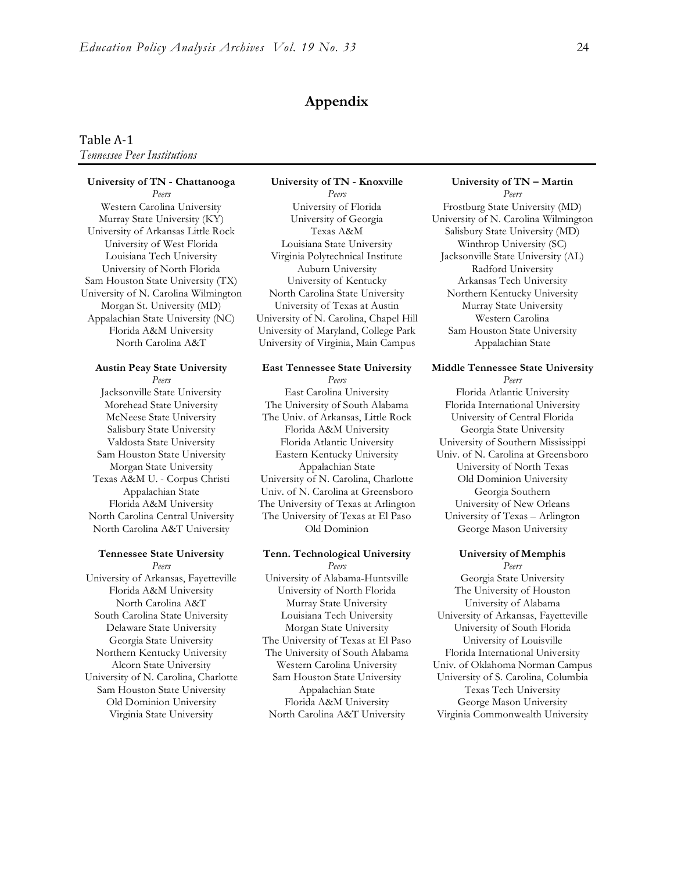#### **Appendix**

#### Table
A‐1 *Tennessee Peer Institutions*

#### **University of TN - Chattanooga University of TN - Knoxville University of TN – Martin**

University of N. Carolina Wilmington North Carolina State University Northern Kentucky University

University of Arkansas, Fayetteville University of Alabama-Huntsville Georgia State University

*Peers Peers Peers* Western Carolina University **University of Florida** Frostburg State University (MD) Murray State University (KY) University of Georgia University of N. Carolina Wilmington University of Arkansas Little Rock Texas A&M Salisbury State University (MD) University of West Florida Louisiana State University Winthrop University (SC) Louisiana Tech University Virginia Polytechnical Institute Jacksonville State University (AL) University of North Florida Auburn University Radford University Sam Houston State University (TX) University of Kentucky Arkansas Tech University Morgan St. University (MD) University of Texas at Austin Murray State University Appalachian State University (NC) University of N. Carolina, Chapel Hill Western Carolina Florida A&M University University of Maryland, College Park Sam Houston State University North Carolina A&T <sup>University of Virginia, Main Campus Appalachian State</sup>

Jacksonville State University East Carolina University Florida Atlantic University Morehead State University The University of South Alabama Florida International University McNeese State University The Univ. of Arkansas, Little Rock University of Central Florida Salisbury State University Florida A&M University Georgia State University Valdosta State University Florida Atlantic University University of Southern Mississippi Sam Houston State University Eastern Kentucky University Univ. of N. Carolina at Greensboro Morgan State University Appalachian State University of North Texas Texas A&M U. - Corpus Christi University of N. Carolina, Charlotte Old Dominion University Appalachian State Univ. of N. Carolina at Greensboro Georgia Southern Florida A&M University The University of Texas at Arlington University of New Orleans North Carolina Central University The University of Texas at El Paso University of Texas – Arlington North Carolina A&T University Old Dominion George Mason University

#### **Tennessee State University Tenn. Technological University University of Memphis** *Peers Peers Peers* Florida A&M University University of North Florida The University of Houston North Carolina A&T Murray State University University of Alabama South Carolina State University Louisiana Tech University University of Arkansas, Fayetteville Delaware State University Morgan State University University of South Florida Georgia State University The University of Texas at El Paso University of Louisville Northern Kentucky University The University of South Alabama Florida International University

Sam Houston State University Appalachian State Texas Tech University Old Dominion University Florida A&M University George Mason University

#### **Austin Peay State University East Tennessee State University Middle Tennessee State University** *Peers Peers Peers*

Alcorn State University Western Carolina University Univ. of Oklahoma Norman Campus University of N. Carolina, Charlotte Sam Houston State University University of S. Carolina, Columbia Virginia State University North Carolina A&T University Virginia Commonwealth University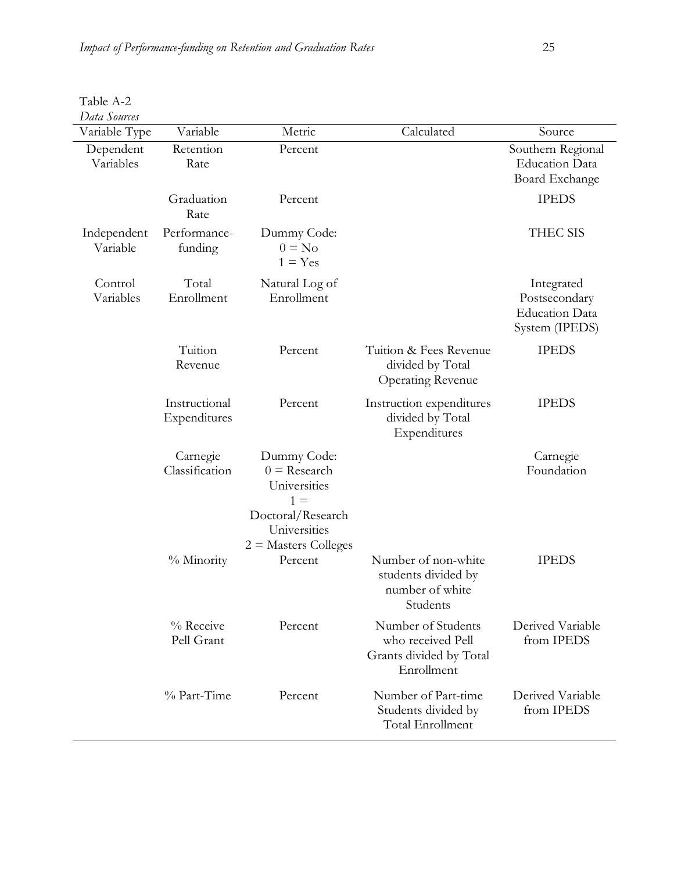Table A-2

| Data Sources            |                               |                                                                                                                       |                                                                                  |                                                                        |
|-------------------------|-------------------------------|-----------------------------------------------------------------------------------------------------------------------|----------------------------------------------------------------------------------|------------------------------------------------------------------------|
| Variable Type           | Variable                      | Metric                                                                                                                | Calculated                                                                       | Source                                                                 |
| Dependent<br>Variables  | Retention<br>Rate             | Percent                                                                                                               |                                                                                  | Southern Regional<br><b>Education Data</b><br>Board Exchange           |
|                         | Graduation<br>Rate            | Percent                                                                                                               |                                                                                  | <b>IPEDS</b>                                                           |
| Independent<br>Variable | Performance-<br>funding       | Dummy Code:<br>$0 = No$<br>$1 = Yes$                                                                                  |                                                                                  | THEC SIS                                                               |
| Control<br>Variables    | Total<br>Enrollment           | Natural Log of<br>Enrollment                                                                                          |                                                                                  | Integrated<br>Postsecondary<br><b>Education Data</b><br>System (IPEDS) |
|                         | Tuition<br>Revenue            | Percent                                                                                                               | Tuition & Fees Revenue<br>divided by Total<br><b>Operating Revenue</b>           | <b>IPEDS</b>                                                           |
|                         | Instructional<br>Expenditures | Percent                                                                                                               | Instruction expenditures<br>divided by Total<br>Expenditures                     | <b>IPEDS</b>                                                           |
|                         | Carnegie<br>Classification    | Dummy Code:<br>$0 =$ Research<br>Universities<br>$1 =$<br>Doctoral/Research<br>Universities<br>$2 =$ Masters Colleges |                                                                                  | Carnegie<br>Foundation                                                 |
|                         | % Minority                    | Percent                                                                                                               | Number of non-white<br>students divided by<br>number of white<br>Students        | <b>IPEDS</b>                                                           |
|                         | % Receive<br>Pell Grant       | Percent                                                                                                               | Number of Students<br>who received Pell<br>Grants divided by Total<br>Enrollment | Derived Variable<br>from IPEDS                                         |
|                         | % Part-Time                   | Percent                                                                                                               | Number of Part-time<br>Students divided by<br>Total Enrollment                   | Derived Variable<br>from IPEDS                                         |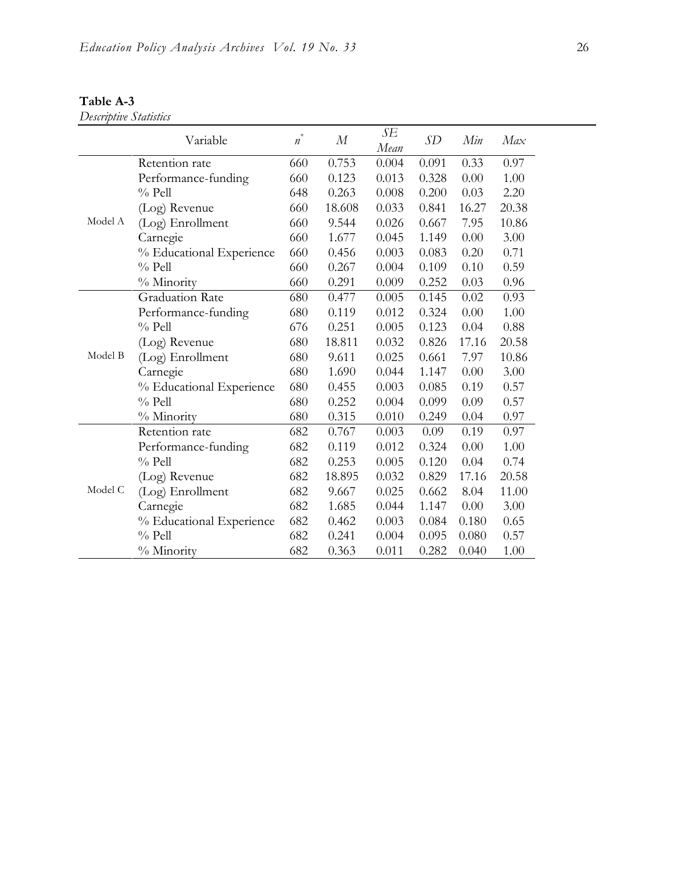|         | Variable                 | $\ast$<br>$\boldsymbol{n}$ | $\boldsymbol{M}$ | SE<br>Mean | SD    | Min   | Max   |
|---------|--------------------------|----------------------------|------------------|------------|-------|-------|-------|
|         | Retention rate           | 660                        | 0.753            | 0.004      | 0.091 | 0.33  | 0.97  |
|         | Performance-funding      | 660                        | 0.123            | 0.013      | 0.328 | 0.00  | 1.00  |
|         | $%$ Pell                 | 648                        | 0.263            | 0.008      | 0.200 | 0.03  | 2.20  |
|         | (Log) Revenue            | 660                        | 18.608           | 0.033      | 0.841 | 16.27 | 20.38 |
| Model A | (Log) Enrollment         | 660                        | 9.544            | 0.026      | 0.667 | 7.95  | 10.86 |
|         | Carnegie                 | 660                        | 1.677            | 0.045      | 1.149 | 0.00  | 3.00  |
|         | % Educational Experience | 660                        | 0.456            | 0.003      | 0.083 | 0.20  | 0.71  |
|         | $%$ Pell                 | 660                        | 0.267            | 0.004      | 0.109 | 0.10  | 0.59  |
|         | % Minority               | 660                        | 0.291            | 0.009      | 0.252 | 0.03  | 0.96  |
|         | <b>Graduation Rate</b>   | 680                        | 0.477            | 0.005      | 0.145 | 0.02  | 0.93  |
|         | Performance-funding      | 680                        | 0.119            | 0.012      | 0.324 | 0.00  | 1.00  |
|         | $%$ Pell                 | 676                        | 0.251            | 0.005      | 0.123 | 0.04  | 0.88  |
|         | (Log) Revenue            | 680                        | 18.811           | 0.032      | 0.826 | 17.16 | 20.58 |
| Model B | (Log) Enrollment         | 680                        | 9.611            | 0.025      | 0.661 | 7.97  | 10.86 |
|         | Carnegie                 | 680                        | 1.690            | 0.044      | 1.147 | 0.00  | 3.00  |
|         | % Educational Experience | 680                        | 0.455            | 0.003      | 0.085 | 0.19  | 0.57  |
|         | $%$ Pell                 | 680                        | 0.252            | 0.004      | 0.099 | 0.09  | 0.57  |
|         | % Minority               | 680                        | 0.315            | 0.010      | 0.249 | 0.04  | 0.97  |
|         | Retention rate           | 682                        | 0.767            | 0.003      | 0.09  | 0.19  | 0.97  |
|         | Performance-funding      | 682                        | 0.119            | 0.012      | 0.324 | 0.00  | 1.00  |
|         | $%$ Pell                 | 682                        | 0.253            | 0.005      | 0.120 | 0.04  | 0.74  |
|         | (Log) Revenue            | 682                        | 18.895           | 0.032      | 0.829 | 17.16 | 20.58 |
| Model C | (Log) Enrollment         | 682                        | 9.667            | 0.025      | 0.662 | 8.04  | 11.00 |
|         | Carnegie                 | 682                        | 1.685            | 0.044      | 1.147 | 0.00  | 3.00  |
|         | % Educational Experience | 682                        | 0.462            | 0.003      | 0.084 | 0.180 | 0.65  |
|         | $%$ Pell                 | 682                        | 0.241            | 0.004      | 0.095 | 0.080 | 0.57  |
|         | % Minority               | 682                        | 0.363            | 0.011      | 0.282 | 0.040 | 1.00  |

### **Table A-3**

### *Descriptive Statistics*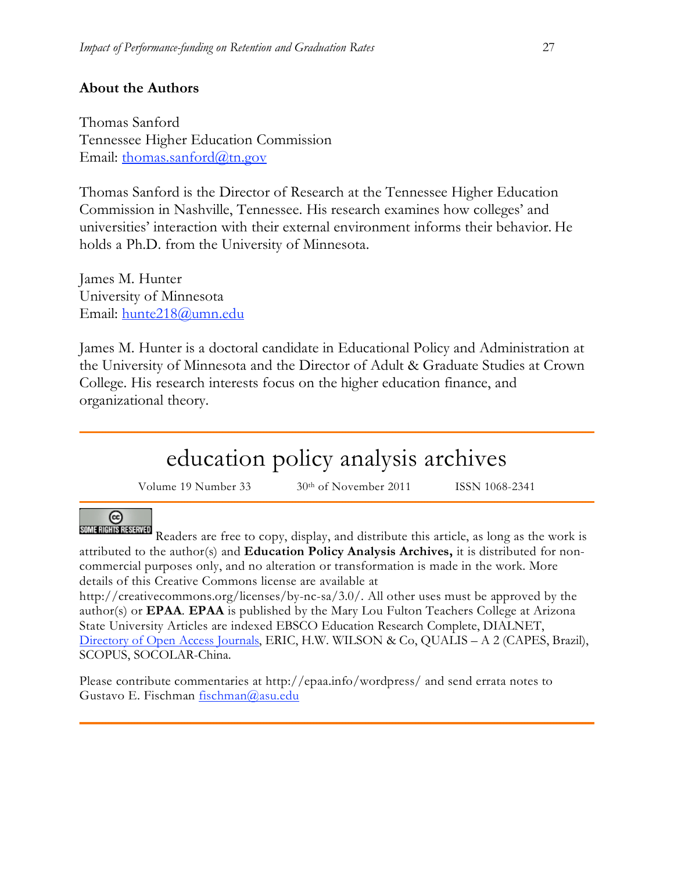### **About the Authors**

Thomas Sanford Tennessee Higher Education Commission Email: thomas.sanford@tn.gov

Thomas Sanford is the Director of Research at the Tennessee Higher Education Commission in Nashville, Tennessee. His research examines how colleges' and universities' interaction with their external environment informs their behavior. He holds a Ph.D. from the University of Minnesota.

James M. Hunter University of Minnesota Email: hunte218@umn.edu

James M. Hunter is a doctoral candidate in Educational Policy and Administration at the University of Minnesota and the Director of Adult & Graduate Studies at Crown College. His research interests focus on the higher education finance, and organizational theory.

# education policy analysis archives

Volume 19 Number 33  $30<sup>th</sup>$  of November 2011 ISSN 1068-2341

#### ⊚ SOME RIGHTS RESERVED

Readers are free to copy, display, and distribute this article, as long as the work is attributed to the author(s) and **Education Policy Analysis Archives,** it is distributed for noncommercial purposes only, and no alteration or transformation is made in the work. More details of this Creative Commons license are available at

http://creativecommons.org/licenses/by-nc-sa/3.0/. All other uses must be approved by the author(s) or **EPAA**. **EPAA** is published by the Mary Lou Fulton Teachers College at Arizona State University Articles are indexed EBSCO Education Research Complete, DIALNET, Directory of Open Access Journals, ERIC, H.W. WILSON & Co, QUALIS – A 2 (CAPES, Brazil), SCOPUS, SOCOLAR-China.

Please contribute commentaries at http://epaa.info/wordpress/ and send errata notes to Gustavo E. Fischman fischman@asu.edu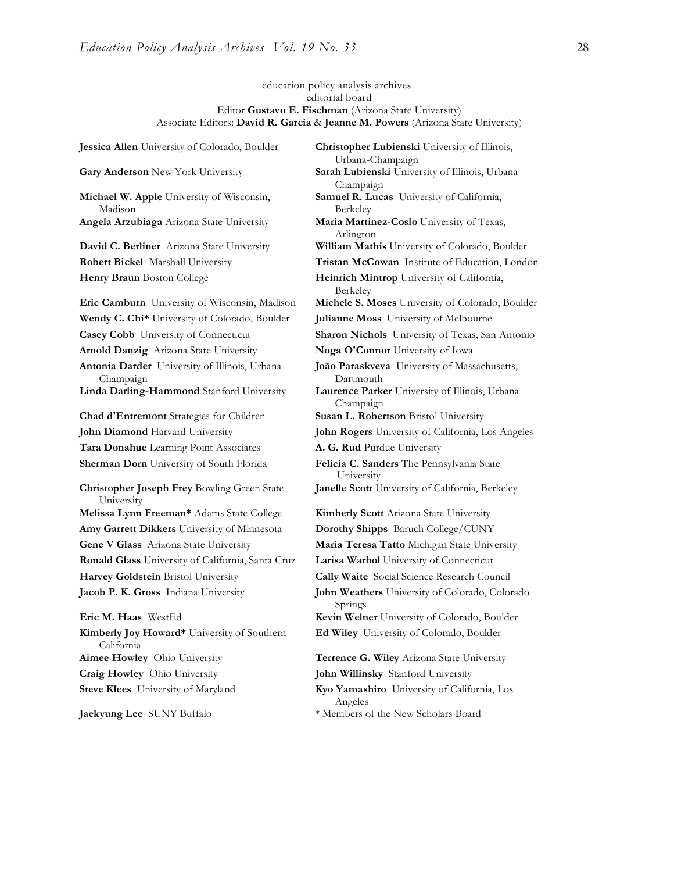education policy analysis archives editorial board Editor **Gustavo E. Fischman** (Arizona State University) Associate Editors: **David R. Garcia** & **Jeanne M. Powers** (Arizona State University)

**Gary Anderson** New York University **Sarah Lubienski** University of Illinois, Urbana-**Michael W. Apple** University of Wisconsin, Madison **Angela Arzubiaga** Arizona State University **Maria Martinez-Coslo** University of Texas, **David C. Berliner** Arizona State University **William Mathis** University of Colorado, Boulder **Robert Bickel** Marshall University **Tristan McCowan** Institute of Education, London **Henry Braun** Boston College **Heinrich Mintrop** University of California, **Eric Camburn** University of Wisconsin, Madison **Michele S. Moses** University of Colorado, Boulder **Wendy C. Chi\*** University of Colorado, Boulder **Julianne Moss** University of Melbourne **Casey Cobb** University of Connecticut **Sharon Nichols** University of Texas, San Antonio **Arnold Danzig** Arizona State University **Noga O'Connor** University of Iowa **Antonia Darder** University of Illinois, Urbana-Champaign **Linda Darling-Hammond** Stanford University **Laurence Parker** University of Illinois, Urbana-**Chad d'Entremont** Strategies for Children **Susan L. Robertson** Bristol University **John Diamond** Harvard University **John Rogers** University of California, Los Angeles **Tara Donahue** Learning Point Associates **A. G. Rud** Purdue University **Sherman Dorn** University of South Florida **Felicia C. Sanders** The Pennsylvania State **Christopher Joseph Frey** Bowling Green State University **Melissa Lynn Freeman\*** Adams State College **Kimberly Scott** Arizona State University **Amy Garrett Dikkers** University of Minnesota **Dorothy Shipps** Baruch College/CUNY **Gene V Glass** Arizona State University **Maria Teresa Tatto** Michigan State University **Ronald Glass** University of California, Santa Cruz **Larisa Warhol** University of Connecticut **Harvey Goldstein** Bristol University **Cally Waite** Social Science Research Council **Jacob P. K. Gross** Indiana University **John Weathers** University of Colorado, Colorado **Eric M. Haas** WestEd **Kevin Welner** University of Colorado, Boulder **Kimberly Joy Howard\*** University of Southern California **Aimee Howley** Ohio University **Terrence G. Wiley** Arizona State University

**Jessica Allen** University of Colorado, Boulder **Christopher Lubienski** University of Illinois, Urbana-Champaign Champaign **Samuel R. Lucas** University of California, Berkeley Arlington Berkeley **João Paraskveva** University of Massachusetts, Dartmouth Champaign University **Janelle Scott** University of California, Berkeley Springs **Ed Wiley** University of Colorado, Boulder

**Craig Howley** Ohio University **John Willinsky** Stanford University

**Steve Klees** University of Maryland **Kyo Yamashiro** University of California, Los Angeles

**Jaekyung Lee** SUNY Buffalo \* \* Members of the New Scholars Board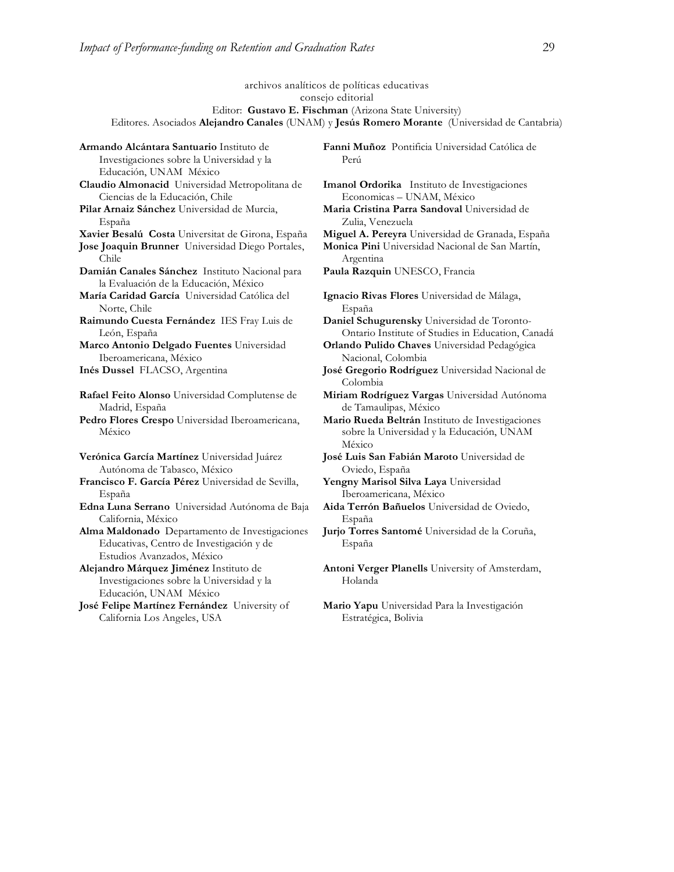España

Chile

Norte, Chile

León, España

Madrid, España

California, México

México

España

archivos analíticos de políticas educativas consejo editorial Editor: **Gustavo E. Fischman** (Arizona State University) Editores. Asociados **Alejandro Canales** (UNAM) y **Jesús Romero Morante** (Universidad de Cantabria) **Armando Alcántara Santuario** Instituto de Investigaciones sobre la Universidad y la Educación, UNAM México **Fanni Muñoz** Pontificia Universidad Católica de Perú **Claudio Almonacid** Universidad Metropolitana de Ciencias de la Educación, Chile **Imanol Ordorika** Instituto de Investigaciones Economicas – UNAM, México **Pilar Arnaiz Sánchez** Universidad de Murcia, **Maria Cristina Parra Sandoval** Universidad de Zulia, Venezuela **Xavier Besalú Costa** Universitat de Girona, España **Miguel A. Pereyra** Universidad de Granada, España **Jose Joaquin Brunner** Universidad Diego Portales, **Monica Pini** Universidad Nacional de San Martín, Argentina **Damián Canales Sánchez** Instituto Nacional para la Evaluación de la Educación, México **Paula Razquin** UNESCO, Francia **María Caridad García** Universidad Católica del **Ignacio Rivas Flores** Universidad de Málaga, España **Raimundo Cuesta Fernández** IES Fray Luis de **Daniel Schugurensky** Universidad de Toronto-Ontario Institute of Studies in Education, Canadá **Marco Antonio Delgado Fuentes** Universidad Iberoamericana, México **Orlando Pulido Chaves** Universidad Pedagógica Nacional, Colombia **Inés Dussel** FLACSO, Argentina **José Gregorio Rodríguez** Universidad Nacional de Colombia **Rafael Feito Alonso** Universidad Complutense de **Miriam Rodríguez Vargas** Universidad Autónoma de Tamaulipas, México **Pedro Flores Crespo** Universidad Iberoamericana, **Mario Rueda Beltrán** Instituto de Investigaciones sobre la Universidad y la Educación, UNAM México **Verónica García Martínez** Universidad Juárez Autónoma de Tabasco, México **José Luis San Fabián Maroto** Universidad de Oviedo, España **Francisco F. García Pérez** Universidad de Sevilla, **Yengny Marisol Silva Laya** Universidad Iberoamericana, México **Edna Luna Serrano** Universidad Autónoma de Baja **Aida Terrón Bañuelos** Universidad de Oviedo, España **Alma Maldonado** Departamento de Investigaciones Educativas, Centro de Investigación y de Estudios Avanzados, México **Jurjo Torres Santomé** Universidad de la Coruña, España **Alejandro Márquez Jiménez** Instituto de Investigaciones sobre la Universidad y la Educación, UNAM México **Antoni Verger Planells** University of Amsterdam, Holanda **José Felipe Martínez Fernández** University of California Los Angeles, USA **Mario Yapu** Universidad Para la Investigación Estratégica, Bolivia